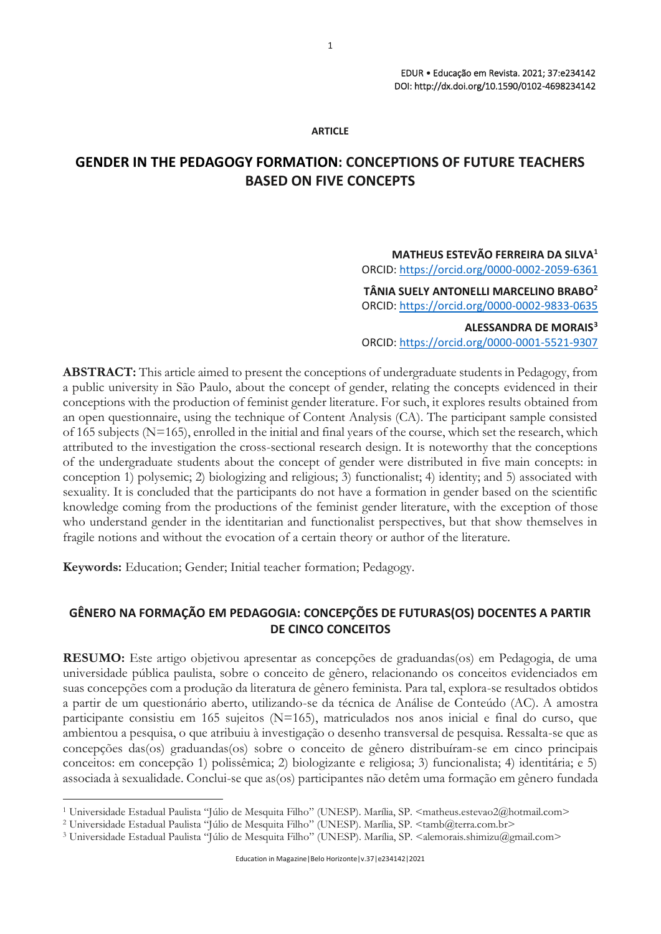#### **ARTICLE**

# **GENDER IN THE PEDAGOGY FORMATION: CONCEPTIONS OF FUTURE TEACHERS BASED ON FIVE CONCEPTS**

# **MATHEUS ESTEVÃO FERREIRA DA SILVA<sup>1</sup>**

ORCID:<https://orcid.org/0000-0002-2059-6361>

**TÂNIA SUELY ANTONELLI MARCELINO BRABO<sup>2</sup>** ORCID:<https://orcid.org/0000-0002-9833-0635>

**ALESSANDRA DE MORAIS<sup>3</sup>** ORCID:<https://orcid.org/0000-0001-5521-9307>

**ABSTRACT:** This article aimed to present the conceptions of undergraduate students in Pedagogy, from a public university in São Paulo, about the concept of gender, relating the concepts evidenced in their conceptions with the production of feminist gender literature. For such, it explores results obtained from an open questionnaire, using the technique of Content Analysis (CA). The participant sample consisted of 165 subjects ( $N=165$ ), enrolled in the initial and final years of the course, which set the research, which attributed to the investigation the cross-sectional research design. It is noteworthy that the conceptions of the undergraduate students about the concept of gender were distributed in five main concepts: in conception 1) polysemic; 2) biologizing and religious; 3) functionalist; 4) identity; and 5) associated with sexuality. It is concluded that the participants do not have a formation in gender based on the scientific knowledge coming from the productions of the feminist gender literature, with the exception of those who understand gender in the identitarian and functionalist perspectives, but that show themselves in fragile notions and without the evocation of a certain theory or author of the literature.

**Keywords:** Education; Gender; Initial teacher formation; Pedagogy.

# **GÊNERO NA FORMAÇÃO EM PEDAGOGIA: CONCEPÇÕES DE FUTURAS(OS) DOCENTES A PARTIR DE CINCO CONCEITOS**

**RESUMO:** Este artigo objetivou apresentar as concepções de graduandas(os) em Pedagogia, de uma universidade pública paulista, sobre o conceito de gênero, relacionando os conceitos evidenciados em suas concepções com a produção da literatura de gênero feminista. Para tal, explora-se resultados obtidos a partir de um questionário aberto, utilizando-se da técnica de Análise de Conteúdo (AC). A amostra participante consistiu em 165 sujeitos (N=165), matriculados nos anos inicial e final do curso, que ambientou a pesquisa, o que atribuiu à investigação o desenho transversal de pesquisa. Ressalta-se que as concepções das(os) graduandas(os) sobre o conceito de gênero distribuíram-se em cinco principais conceitos: em concepção 1) polissêmica; 2) biologizante e religiosa; 3) funcionalista; 4) identitária; e 5) associada à sexualidade. Conclui-se que as(os) participantes não detêm uma formação em gênero fundada

<sup>&</sup>lt;sup>1</sup> Universidade Estadual Paulista "Júlio de Mesquita Filho" (UNESP). Marília, SP. <matheus.estevao2@hotmail.com>

<sup>&</sup>lt;sup>2</sup> Universidade Estadual Paulista "Júlio de Mesquita Filho" (UNESP). Marília, SP. <tamb@terra.com.br>

<sup>&</sup>lt;sup>3</sup> Universidade Estadual Paulista "Júlio de Mesquita Filho" (UNESP). Marília, SP. <alemorais.shimizu@gmail.com>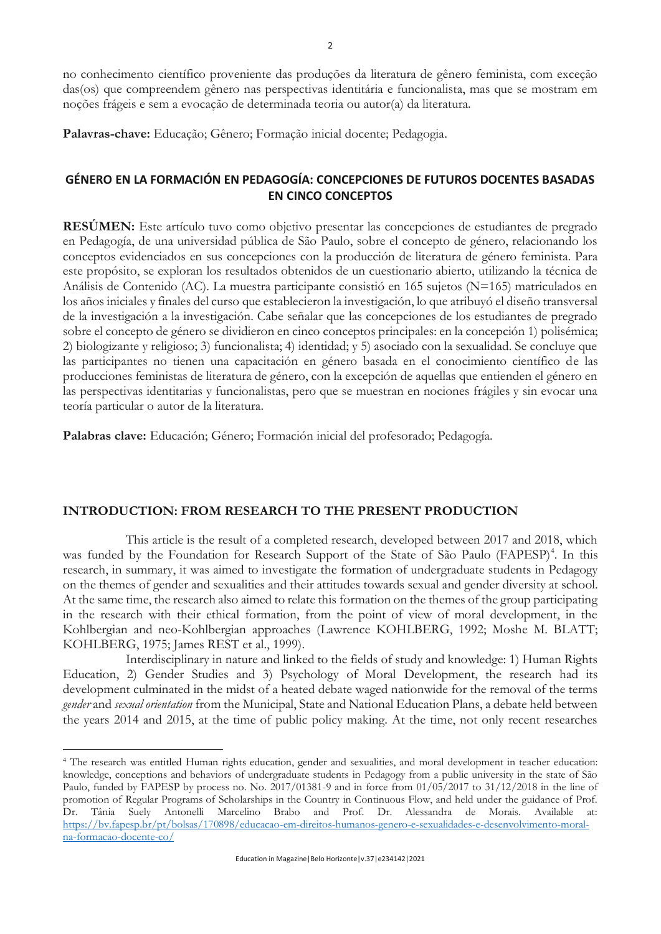no conhecimento científico proveniente das produções da literatura de gênero feminista, com exceção das(os) que compreendem gênero nas perspectivas identitária e funcionalista, mas que se mostram em noções frágeis e sem a evocação de determinada teoria ou autor(a) da literatura.

**Palavras-chave:** Educação; Gênero; Formação inicial docente; Pedagogia.

# **GÉNERO EN LA FORMACIÓN EN PEDAGOGÍA: CONCEPCIONES DE FUTUROS DOCENTES BASADAS EN CINCO CONCEPTOS**

**RESÚMEN:** Este artículo tuvo como objetivo presentar las concepciones de estudiantes de pregrado en Pedagogía, de una universidad pública de São Paulo, sobre el concepto de género, relacionando los conceptos evidenciados en sus concepciones con la producción de literatura de género feminista. Para este propósito, se exploran los resultados obtenidos de un cuestionario abierto, utilizando la técnica de Análisis de Contenido (AC). La muestra participante consistió en 165 sujetos (N=165) matriculados en los años iniciales y finales del curso que establecieron la investigación, lo que atribuyó el diseño transversal de la investigación a la investigación. Cabe señalar que las concepciones de los estudiantes de pregrado sobre el concepto de género se dividieron en cinco conceptos principales: en la concepción 1) polisémica; 2) biologizante y religioso; 3) funcionalista; 4) identidad; y 5) asociado con la sexualidad. Se concluye que las participantes no tienen una capacitación en género basada en el conocimiento científico de las producciones feministas de literatura de género, con la excepción de aquellas que entienden el género en las perspectivas identitarias y funcionalistas, pero que se muestran en nociones frágiles y sin evocar una teoría particular o autor de la literatura.

**Palabras clave:** Educación; Género; Formación inicial del profesorado; Pedagogía.

### **INTRODUCTION: FROM RESEARCH TO THE PRESENT PRODUCTION**

This article is the result of a completed research, developed between 2017 and 2018, which was funded by the Foundation for Research Support of the State of São Paulo (FAPESP)<sup>4</sup>. In this research, in summary, it was aimed to investigate the formation of undergraduate students in Pedagogy on the themes of gender and sexualities and their attitudes towards sexual and gender diversity at school. At the same time, the research also aimed to relate this formation on the themes of the group participating in the research with their ethical formation, from the point of view of moral development, in the Kohlbergian and neo-Kohlbergian approaches (Lawrence KOHLBERG, 1992; Moshe M. BLATT; KOHLBERG, 1975; James REST et al., 1999).

Interdisciplinary in nature and linked to the fields of study and knowledge: 1) Human Rights Education, 2) Gender Studies and 3) Psychology of Moral Development, the research had its development culminated in the midst of a heated debate waged nationwide for the removal of the terms *gender* and *sexual orientation* from the Municipal, State and National Education Plans, a debate held between the years 2014 and 2015, at the time of public policy making. At the time, not only recent researches

<sup>4</sup> The research was entitled Human rights education, gender and sexualities, and moral development in teacher education: knowledge, conceptions and behaviors of undergraduate students in Pedagogy from a public university in the state of São Paulo, funded by FAPESP by process no. No. 2017/01381-9 and in force from 01/05/2017 to 31/12/2018 in the line of promotion of Regular Programs of Scholarships in the Country in Continuous Flow, and held under the guidance of Prof. Dr. Tânia Suely Antonelli Marcelino Brabo and Prof. Dr. Alessandra de Morais. Available at: [https://bv.fapesp.br/pt/bolsas/170898/educacao-em-direitos-humanos-genero-e-sexualidades-e-desenvolvimento-moral](https://bv.fapesp.br/pt/bolsas/170898/educacao-em-direitos-humanos-genero-e-sexualidades-e-desenvolvimento-moral-na-formacao-docente-co/)[na-formacao-docente-co/](https://bv.fapesp.br/pt/bolsas/170898/educacao-em-direitos-humanos-genero-e-sexualidades-e-desenvolvimento-moral-na-formacao-docente-co/)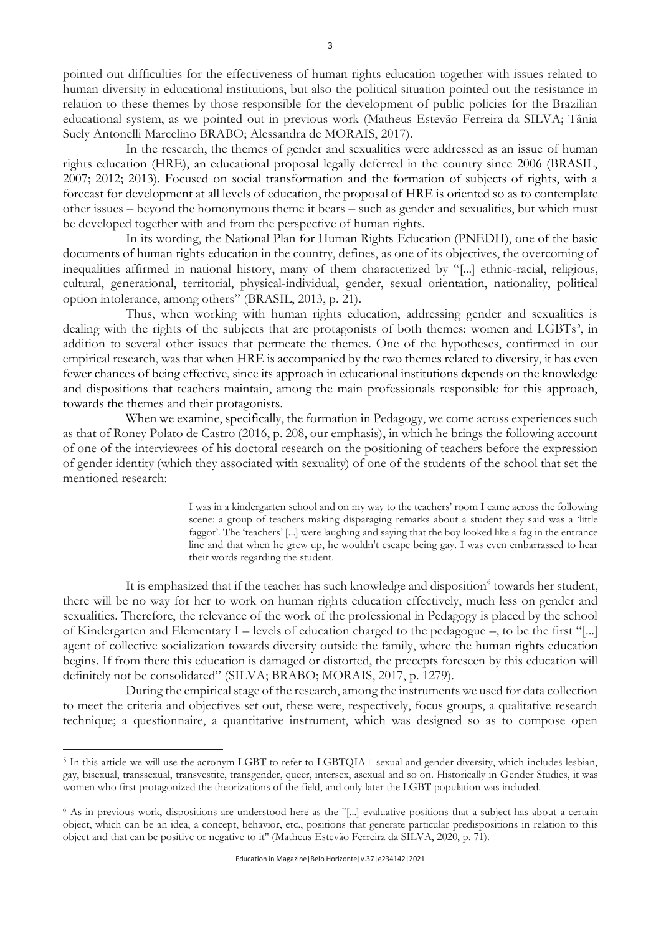pointed out difficulties for the effectiveness of human rights education together with issues related to human diversity in educational institutions, but also the political situation pointed out the resistance in relation to these themes by those responsible for the development of public policies for the Brazilian educational system, as we pointed out in previous work (Matheus Estevão Ferreira da SILVA; Tânia Suely Antonelli Marcelino BRABO; Alessandra de MORAIS, 2017).

In the research, the themes of gender and sexualities were addressed as an issue of human rights education (HRE), an educational proposal legally deferred in the country since 2006 (BRASIL, 2007; 2012; 2013). Focused on social transformation and the formation of subjects of rights, with a forecast for development at all levels of education, the proposal of HRE is oriented so as to contemplate other issues – beyond the homonymous theme it bears – such as gender and sexualities, but which must be developed together with and from the perspective of human rights.

In its wording, the National Plan for Human Rights Education (PNEDH), one of the basic documents of human rights education in the country, defines, as one of its objectives, the overcoming of inequalities affirmed in national history, many of them characterized by "[...] ethnic-racial, religious, cultural, generational, territorial, physical-individual, gender, sexual orientation, nationality, political option intolerance, among others" (BRASIL, 2013, p. 21).

Thus, when working with human rights education, addressing gender and sexualities is dealing with the rights of the subjects that are protagonists of both themes: women and LGBTs<sup>5</sup>, in addition to several other issues that permeate the themes. One of the hypotheses, confirmed in our empirical research, was that when HRE is accompanied by the two themes related to diversity, it has even fewer chances of being effective, since its approach in educational institutions depends on the knowledge and dispositions that teachers maintain, among the main professionals responsible for this approach, towards the themes and their protagonists.

When we examine, specifically, the formation in Pedagogy, we come across experiences such as that of Roney Polato de Castro (2016, p. 208, our emphasis), in which he brings the following account of one of the interviewees of his doctoral research on the positioning of teachers before the expression of gender identity (which they associated with sexuality) of one of the students of the school that set the mentioned research:

> I was in a kindergarten school and on my way to the teachers' room I came across the following scene: a group of teachers making disparaging remarks about a student they said was a 'little faggot'. The 'teachers' [...] were laughing and saying that the boy looked like a fag in the entrance line and that when he grew up, he wouldn't escape being gay. I was even embarrassed to hear their words regarding the student.

It is emphasized that if the teacher has such knowledge and disposition<sup>6</sup> towards her student, there will be no way for her to work on human rights education effectively, much less on gender and sexualities. Therefore, the relevance of the work of the professional in Pedagogy is placed by the school of Kindergarten and Elementary I – levels of education charged to the pedagogue –, to be the first "[...] agent of collective socialization towards diversity outside the family, where the human rights education begins. If from there this education is damaged or distorted, the precepts foreseen by this education will definitely not be consolidated" (SILVA; BRABO; MORAIS, 2017, p. 1279).

During the empirical stage of the research, among the instruments we used for data collection to meet the criteria and objectives set out, these were, respectively, focus groups, a qualitative research technique; a questionnaire, a quantitative instrument, which was designed so as to compose open

<sup>&</sup>lt;sup>5</sup> In this article we will use the acronym LGBT to refer to LGBTQIA+ sexual and gender diversity, which includes lesbian, gay, bisexual, transsexual, transvestite, transgender, queer, intersex, asexual and so on. Historically in Gender Studies, it was women who first protagonized the theorizations of the field, and only later the LGBT population was included.

<sup>6</sup> As in previous work, dispositions are understood here as the "[...] evaluative positions that a subject has about a certain object, which can be an idea, a concept, behavior, etc., positions that generate particular predispositions in relation to this object and that can be positive or negative to it" (Matheus Estevão Ferreira da SILVA, 2020, p. 71).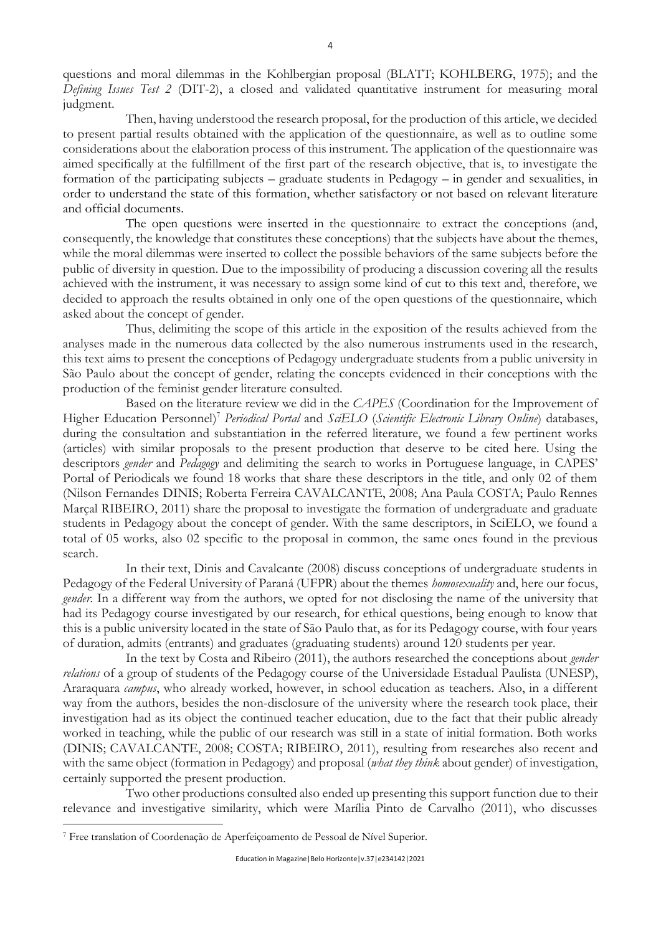questions and moral dilemmas in the Kohlbergian proposal (BLATT; KOHLBERG, 1975); and the *Defining Issues Test 2* (DIT-2), a closed and validated quantitative instrument for measuring moral judgment.

Then, having understood the research proposal, for the production of this article, we decided to present partial results obtained with the application of the questionnaire, as well as to outline some considerations about the elaboration process of this instrument. The application of the questionnaire was aimed specifically at the fulfillment of the first part of the research objective, that is, to investigate the formation of the participating subjects – graduate students in Pedagogy – in gender and sexualities, in order to understand the state of this formation, whether satisfactory or not based on relevant literature and official documents.

The open questions were inserted in the questionnaire to extract the conceptions (and, consequently, the knowledge that constitutes these conceptions) that the subjects have about the themes, while the moral dilemmas were inserted to collect the possible behaviors of the same subjects before the public of diversity in question. Due to the impossibility of producing a discussion covering all the results achieved with the instrument, it was necessary to assign some kind of cut to this text and, therefore, we decided to approach the results obtained in only one of the open questions of the questionnaire, which asked about the concept of gender.

Thus, delimiting the scope of this article in the exposition of the results achieved from the analyses made in the numerous data collected by the also numerous instruments used in the research, this text aims to present the conceptions of Pedagogy undergraduate students from a public university in São Paulo about the concept of gender, relating the concepts evidenced in their conceptions with the production of the feminist gender literature consulted.

Based on the literature review we did in the *CAPES* (Coordination for the Improvement of Higher Education Personnel) <sup>7</sup> *Periodical Portal* and *SciELO* (*Scientific Electronic Library Online*) databases, during the consultation and substantiation in the referred literature, we found a few pertinent works (articles) with similar proposals to the present production that deserve to be cited here. Using the descriptors *gender* and *Pedagogy* and delimiting the search to works in Portuguese language, in CAPES' Portal of Periodicals we found 18 works that share these descriptors in the title, and only 02 of them (Nilson Fernandes DINIS; Roberta Ferreira CAVALCANTE, 2008; Ana Paula COSTA; Paulo Rennes Marçal RIBEIRO, 2011) share the proposal to investigate the formation of undergraduate and graduate students in Pedagogy about the concept of gender. With the same descriptors, in SciELO, we found a total of 05 works, also 02 specific to the proposal in common, the same ones found in the previous search.

In their text, Dinis and Cavalcante (2008) discuss conceptions of undergraduate students in Pedagogy of the Federal University of Paraná (UFPR) about the themes *homosexuality* and, here our focus, *gender*. In a different way from the authors, we opted for not disclosing the name of the university that had its Pedagogy course investigated by our research, for ethical questions, being enough to know that this is a public university located in the state of São Paulo that, as for its Pedagogy course, with four years of duration, admits (entrants) and graduates (graduating students) around 120 students per year.

In the text by Costa and Ribeiro (2011), the authors researched the conceptions about *gender relations* of a group of students of the Pedagogy course of the Universidade Estadual Paulista (UNESP), Araraquara *campus*, who already worked, however, in school education as teachers. Also, in a different way from the authors, besides the non-disclosure of the university where the research took place, their investigation had as its object the continued teacher education, due to the fact that their public already worked in teaching, while the public of our research was still in a state of initial formation. Both works (DINIS; CAVALCANTE, 2008; COSTA; RIBEIRO, 2011), resulting from researches also recent and with the same object (formation in Pedagogy) and proposal (*what they think* about gender) of investigation, certainly supported the present production.

Two other productions consulted also ended up presenting this support function due to their relevance and investigative similarity, which were Marília Pinto de Carvalho (2011), who discusses

<sup>7</sup> Free translation of Coordenação de Aperfeiçoamento de Pessoal de Nível Superior.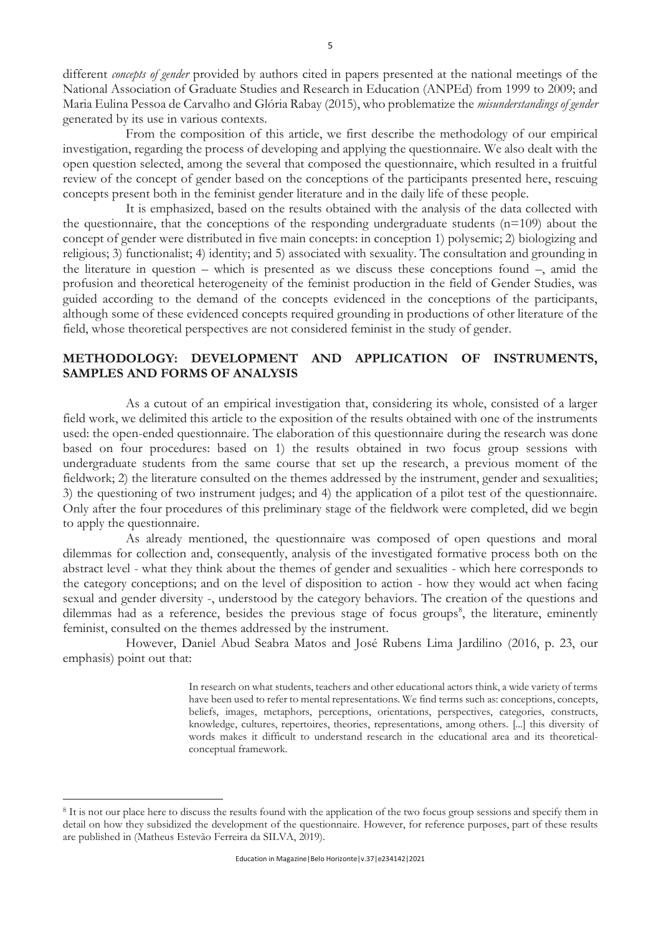different *concepts of gender* provided by authors cited in papers presented at the national meetings of the National Association of Graduate Studies and Research in Education (ANPEd) from 1999 to 2009; and Maria Eulina Pessoa de Carvalho and Glória Rabay (2015), who problematize the *misunderstandings of gender*  generated by its use in various contexts.

From the composition of this article, we first describe the methodology of our empirical investigation, regarding the process of developing and applying the questionnaire. We also dealt with the open question selected, among the several that composed the questionnaire, which resulted in a fruitful review of the concept of gender based on the conceptions of the participants presented here, rescuing concepts present both in the feminist gender literature and in the daily life of these people.

It is emphasized, based on the results obtained with the analysis of the data collected with the questionnaire, that the conceptions of the responding undergraduate students (n=109) about the concept of gender were distributed in five main concepts: in conception 1) polysemic; 2) biologizing and religious; 3) functionalist; 4) identity; and 5) associated with sexuality. The consultation and grounding in the literature in question – which is presented as we discuss these conceptions found –, amid the profusion and theoretical heterogeneity of the feminist production in the field of Gender Studies, was guided according to the demand of the concepts evidenced in the conceptions of the participants, although some of these evidenced concepts required grounding in productions of other literature of the field, whose theoretical perspectives are not considered feminist in the study of gender.

# **METHODOLOGY: DEVELOPMENT AND APPLICATION OF INSTRUMENTS, SAMPLES AND FORMS OF ANALYSIS**

As a cutout of an empirical investigation that, considering its whole, consisted of a larger field work, we delimited this article to the exposition of the results obtained with one of the instruments used: the open-ended questionnaire. The elaboration of this questionnaire during the research was done based on four procedures: based on 1) the results obtained in two focus group sessions with undergraduate students from the same course that set up the research, a previous moment of the fieldwork; 2) the literature consulted on the themes addressed by the instrument, gender and sexualities; 3) the questioning of two instrument judges; and 4) the application of a pilot test of the questionnaire. Only after the four procedures of this preliminary stage of the fieldwork were completed, did we begin to apply the questionnaire.

As already mentioned, the questionnaire was composed of open questions and moral dilemmas for collection and, consequently, analysis of the investigated formative process both on the abstract level - what they think about the themes of gender and sexualities - which here corresponds to the category conceptions; and on the level of disposition to action - how they would act when facing sexual and gender diversity -, understood by the category behaviors. The creation of the questions and dilemmas had as a reference, besides the previous stage of focus groups<sup>8</sup>, the literature, eminently feminist, consulted on the themes addressed by the instrument.

However, Daniel Abud Seabra Matos and José Rubens Lima Jardilino (2016, p. 23, our emphasis) point out that:

> In research on what students, teachers and other educational actors think, a wide variety of terms have been used to refer to mental representations. We find terms such as: conceptions, concepts, beliefs, images, metaphors, perceptions, orientations, perspectives, categories, constructs, knowledge, cultures, repertoires, theories, representations, among others. [...] this diversity of words makes it difficult to understand research in the educational area and its theoreticalconceptual framework.

<sup>8</sup> It is not our place here to discuss the results found with the application of the two focus group sessions and specify them in detail on how they subsidized the development of the questionnaire. However, for reference purposes, part of these results are published in (Matheus Estevão Ferreira da SILVA, 2019).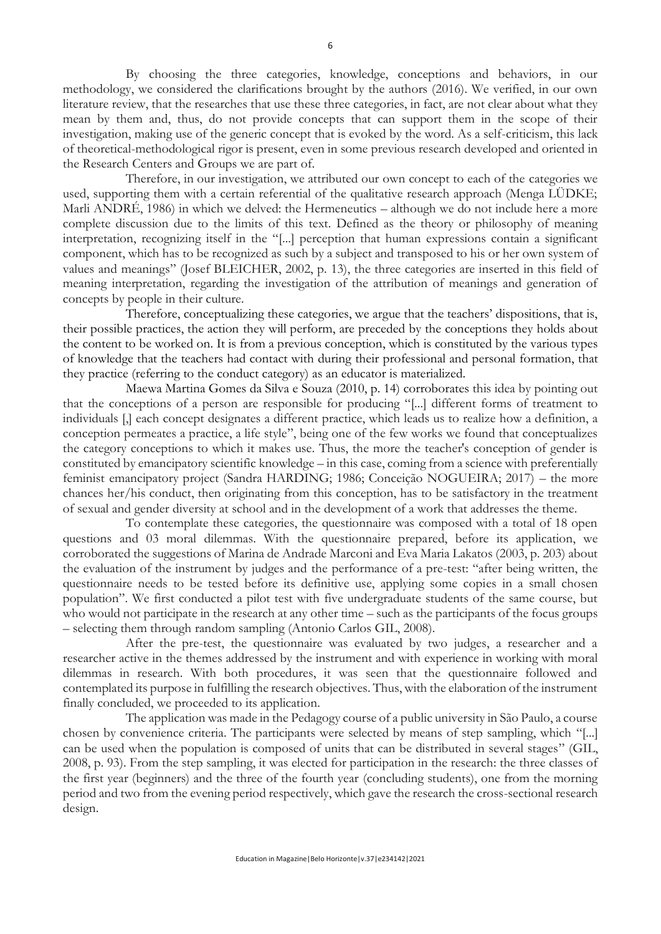By choosing the three categories, knowledge, conceptions and behaviors, in our methodology, we considered the clarifications brought by the authors (2016). We verified, in our own literature review, that the researches that use these three categories, in fact, are not clear about what they mean by them and, thus, do not provide concepts that can support them in the scope of their investigation, making use of the generic concept that is evoked by the word. As a self-criticism, this lack of theoretical-methodological rigor is present, even in some previous research developed and oriented in the Research Centers and Groups we are part of.

Therefore, in our investigation, we attributed our own concept to each of the categories we used, supporting them with a certain referential of the qualitative research approach (Menga LÜDKE; Marli ANDRÉ, 1986) in which we delved: the Hermeneutics – although we do not include here a more complete discussion due to the limits of this text. Defined as the theory or philosophy of meaning interpretation, recognizing itself in the "[...] perception that human expressions contain a significant component, which has to be recognized as such by a subject and transposed to his or her own system of values and meanings" (Josef BLEICHER, 2002, p. 13), the three categories are inserted in this field of meaning interpretation, regarding the investigation of the attribution of meanings and generation of concepts by people in their culture.

Therefore, conceptualizing these categories, we argue that the teachers' dispositions, that is, their possible practices, the action they will perform, are preceded by the conceptions they holds about the content to be worked on. It is from a previous conception, which is constituted by the various types of knowledge that the teachers had contact with during their professional and personal formation, that they practice (referring to the conduct category) as an educator is materialized.

Maewa Martina Gomes da Silva e Souza (2010, p. 14) corroborates this idea by pointing out that the conceptions of a person are responsible for producing "[...] different forms of treatment to individuals [,] each concept designates a different practice, which leads us to realize how a definition, a conception permeates a practice, a life style", being one of the few works we found that conceptualizes the category conceptions to which it makes use. Thus, the more the teacher's conception of gender is constituted by emancipatory scientific knowledge – in this case, coming from a science with preferentially feminist emancipatory project (Sandra HARDING; 1986; Conceição NOGUEIRA; 2017) – the more chances her/his conduct, then originating from this conception, has to be satisfactory in the treatment of sexual and gender diversity at school and in the development of a work that addresses the theme.

To contemplate these categories, the questionnaire was composed with a total of 18 open questions and 03 moral dilemmas. With the questionnaire prepared, before its application, we corroborated the suggestions of Marina de Andrade Marconi and Eva Maria Lakatos (2003, p. 203) about the evaluation of the instrument by judges and the performance of a pre-test: "after being written, the questionnaire needs to be tested before its definitive use, applying some copies in a small chosen population". We first conducted a pilot test with five undergraduate students of the same course, but who would not participate in the research at any other time – such as the participants of the focus groups – selecting them through random sampling (Antonio Carlos GIL, 2008).

After the pre-test, the questionnaire was evaluated by two judges, a researcher and a researcher active in the themes addressed by the instrument and with experience in working with moral dilemmas in research. With both procedures, it was seen that the questionnaire followed and contemplated its purpose in fulfilling the research objectives. Thus, with the elaboration of the instrument finally concluded, we proceeded to its application.

The application was made in the Pedagogy course of a public university in São Paulo, a course chosen by convenience criteria. The participants were selected by means of step sampling, which "[...] can be used when the population is composed of units that can be distributed in several stages" (GIL, 2008, p. 93). From the step sampling, it was elected for participation in the research: the three classes of the first year (beginners) and the three of the fourth year (concluding students), one from the morning period and two from the evening period respectively, which gave the research the cross-sectional research design.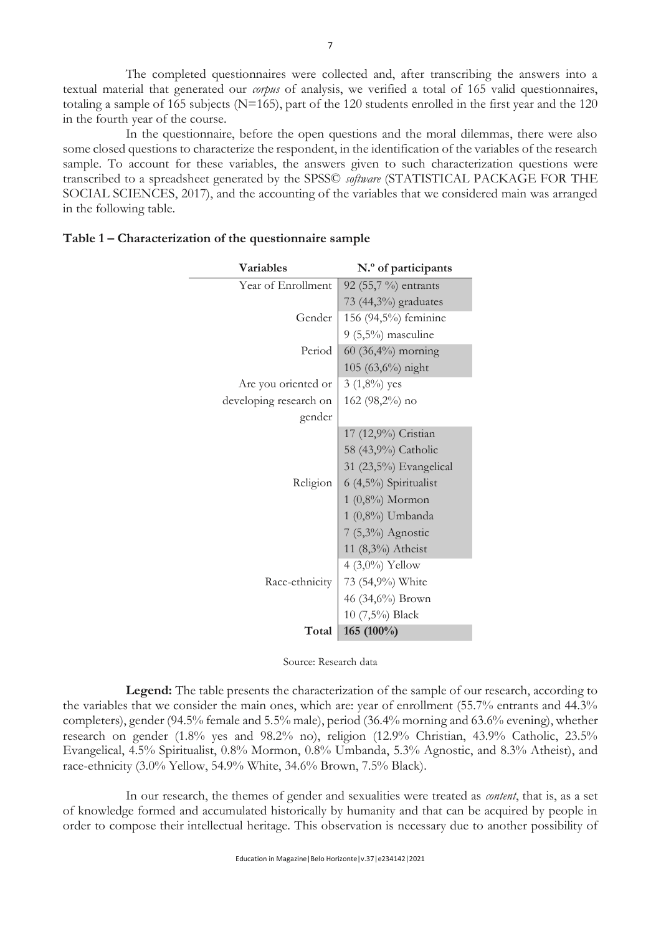The completed questionnaires were collected and, after transcribing the answers into a textual material that generated our *corpus* of analysis, we verified a total of 165 valid questionnaires, totaling a sample of 165 subjects (N=165), part of the 120 students enrolled in the first year and the 120 in the fourth year of the course.

In the questionnaire, before the open questions and the moral dilemmas, there were also some closed questions to characterize the respondent, in the identification of the variables of the research sample. To account for these variables, the answers given to such characterization questions were transcribed to a spreadsheet generated by the SPSS© *software* (STATISTICAL PACKAGE FOR THE SOCIAL SCIENCES, 2017), and the accounting of the variables that we considered main was arranged in the following table.

| <b>Variables</b>       | N.º of participants    |
|------------------------|------------------------|
| Year of Enrollment     | 92 (55,7 %) entrants   |
|                        | 73 (44,3%) graduates   |
| Gender                 | 156 (94,5%) feminine   |
|                        | $9(5,5\%)$ masculine   |
| Period                 | $60 (36,4%)$ morning   |
|                        | 105 (63,6%) night      |
| Are you oriented or    | $3(1,8\%)$ yes         |
| developing research on | 162 (98,2%) no         |
| gender                 |                        |
|                        | 17 (12,9%) Cristian    |
|                        | 58 (43,9%) Catholic    |
|                        | 31 (23,5%) Evangelical |
| Religion               | 6 (4,5%) Spiritualist  |
|                        | $1(0,8\%)$ Mormon      |
|                        | 1 (0,8%) Umbanda       |
|                        | 7 (5,3%) Agnostic      |
|                        | 11 (8,3%) Atheist      |
|                        | 4 $(3,0\%)$ Yellow     |
| Race-ethnicity         | 73 (54,9%) White       |
|                        | 46 (34,6%) Brown       |
|                        | 10 (7,5%) Black        |
| Total                  | 165 (100%)             |

## **Table 1 – Characterization of the questionnaire sample**

Source: Research data

**Legend:** The table presents the characterization of the sample of our research, according to the variables that we consider the main ones, which are: year of enrollment (55.7% entrants and 44.3% completers), gender (94.5% female and 5.5% male), period (36.4% morning and 63.6% evening), whether research on gender (1.8% yes and 98.2% no), religion (12.9% Christian, 43.9% Catholic, 23.5% Evangelical, 4.5% Spiritualist, 0.8% Mormon, 0.8% Umbanda, 5.3% Agnostic, and 8.3% Atheist), and race-ethnicity (3.0% Yellow, 54.9% White, 34.6% Brown, 7.5% Black).

In our research, the themes of gender and sexualities were treated as *content*, that is, as a set of knowledge formed and accumulated historically by humanity and that can be acquired by people in order to compose their intellectual heritage. This observation is necessary due to another possibility of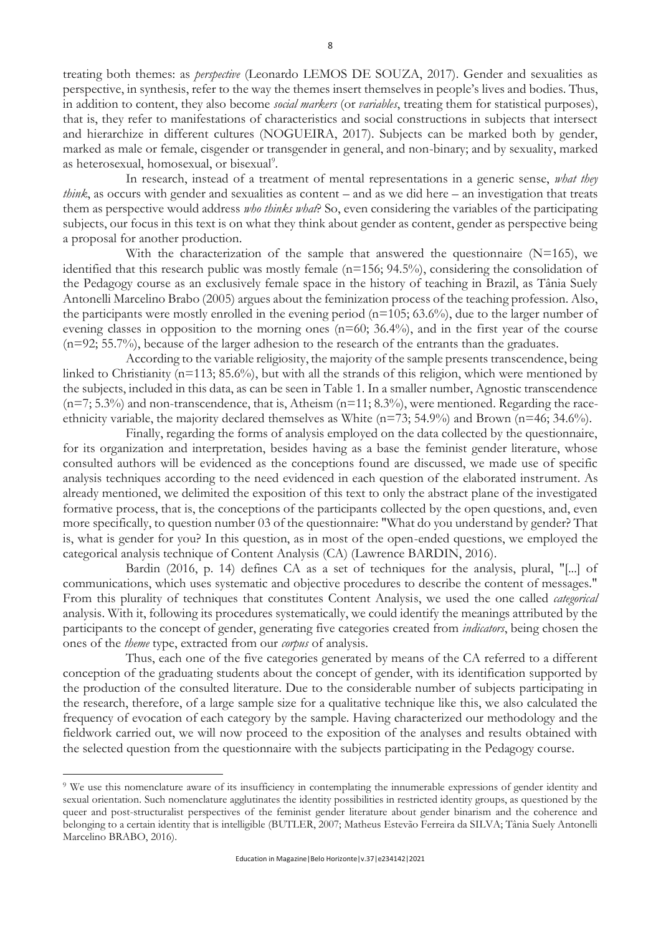treating both themes: as *perspective* (Leonardo LEMOS DE SOUZA, 2017). Gender and sexualities as perspective, in synthesis, refer to the way the themes insert themselves in people's lives and bodies. Thus, in addition to content, they also become *social markers* (or *variables*, treating them for statistical purposes), that is, they refer to manifestations of characteristics and social constructions in subjects that intersect and hierarchize in different cultures (NOGUEIRA, 2017). Subjects can be marked both by gender, marked as male or female, cisgender or transgender in general, and non-binary; and by sexuality, marked as heterosexual, homosexual, or bisexual<sup>9</sup>.

In research, instead of a treatment of mental representations in a generic sense, *what they think*, as occurs with gender and sexualities as content – and as we did here – an investigation that treats them as perspective would address *who thinks what*? So, even considering the variables of the participating subjects, our focus in this text is on what they think about gender as content, gender as perspective being a proposal for another production.

With the characterization of the sample that answered the questionnaire  $(N=165)$ , we identified that this research public was mostly female (n=156; 94.5%), considering the consolidation of the Pedagogy course as an exclusively female space in the history of teaching in Brazil, as Tânia Suely Antonelli Marcelino Brabo (2005) argues about the feminization process of the teaching profession. Also, the participants were mostly enrolled in the evening period  $(n=105; 63.6%)$ , due to the larger number of evening classes in opposition to the morning ones  $(n=60; 36.4\%)$ , and in the first year of the course (n=92; 55.7%), because of the larger adhesion to the research of the entrants than the graduates.

According to the variable religiosity, the majority of the sample presents transcendence, being linked to Christianity (n=113; 85.6%), but with all the strands of this religion, which were mentioned by the subjects, included in this data, as can be seen in Table 1. In a smaller number, Agnostic transcendence  $(n=7; 5.3%)$  and non-transcendence, that is, Atheism  $(n=11; 8.3%)$ , were mentioned. Regarding the raceethnicity variable, the majority declared themselves as White (n=73; 54.9%) and Brown (n=46; 34.6%).

Finally, regarding the forms of analysis employed on the data collected by the questionnaire, for its organization and interpretation, besides having as a base the feminist gender literature, whose consulted authors will be evidenced as the conceptions found are discussed, we made use of specific analysis techniques according to the need evidenced in each question of the elaborated instrument. As already mentioned, we delimited the exposition of this text to only the abstract plane of the investigated formative process, that is, the conceptions of the participants collected by the open questions, and, even more specifically, to question number 03 of the questionnaire: "What do you understand by gender? That is, what is gender for you? In this question, as in most of the open-ended questions, we employed the categorical analysis technique of Content Analysis (CA) (Lawrence BARDIN, 2016).

Bardin (2016, p. 14) defines CA as a set of techniques for the analysis, plural, "[...] of communications, which uses systematic and objective procedures to describe the content of messages." From this plurality of techniques that constitutes Content Analysis, we used the one called *categorical*  analysis. With it, following its procedures systematically, we could identify the meanings attributed by the participants to the concept of gender, generating five categories created from *indicators*, being chosen the ones of the *theme* type, extracted from our *corpus* of analysis.

Thus, each one of the five categories generated by means of the CA referred to a different conception of the graduating students about the concept of gender, with its identification supported by the production of the consulted literature. Due to the considerable number of subjects participating in the research, therefore, of a large sample size for a qualitative technique like this, we also calculated the frequency of evocation of each category by the sample. Having characterized our methodology and the fieldwork carried out, we will now proceed to the exposition of the analyses and results obtained with the selected question from the questionnaire with the subjects participating in the Pedagogy course.

<sup>9</sup> We use this nomenclature aware of its insufficiency in contemplating the innumerable expressions of gender identity and sexual orientation. Such nomenclature agglutinates the identity possibilities in restricted identity groups, as questioned by the queer and post-structuralist perspectives of the feminist gender literature about gender binarism and the coherence and belonging to a certain identity that is intelligible (BUTLER, 2007; Matheus Estevão Ferreira da SILVA; Tânia Suely Antonelli Marcelino BRABO, 2016).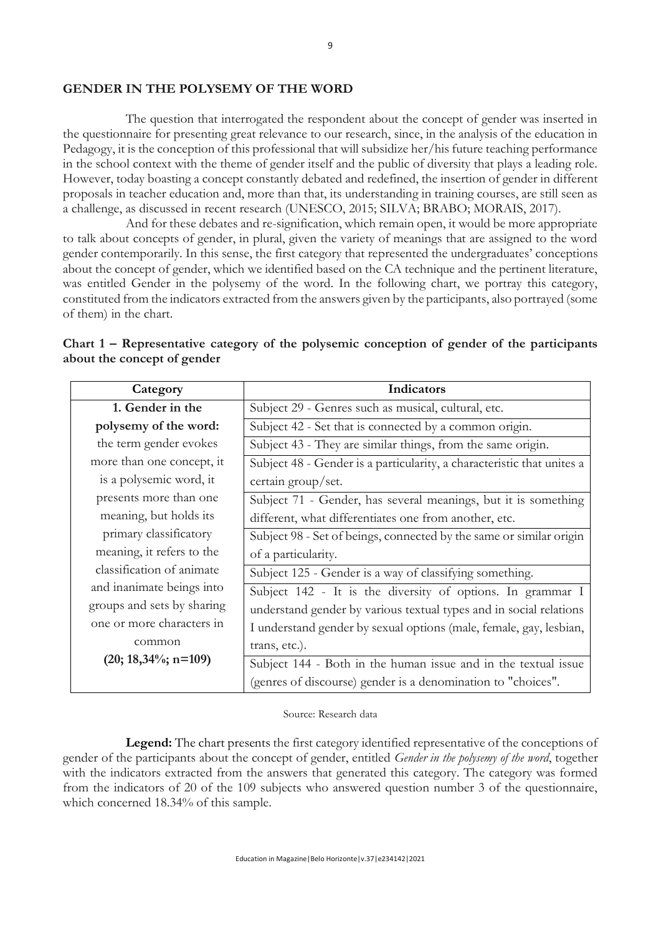#### **GENDER IN THE POLYSEMY OF THE WORD**

The question that interrogated the respondent about the concept of gender was inserted in the questionnaire for presenting great relevance to our research, since, in the analysis of the education in Pedagogy, it is the conception of this professional that will subsidize her/his future teaching performance in the school context with the theme of gender itself and the public of diversity that plays a leading role. However, today boasting a concept constantly debated and redefined, the insertion of gender in different proposals in teacher education and, more than that, its understanding in training courses, are still seen as a challenge, as discussed in recent research (UNESCO, 2015; SILVA; BRABO; MORAIS, 2017).

And for these debates and re-signification, which remain open, it would be more appropriate to talk about concepts of gender, in plural, given the variety of meanings that are assigned to the word gender contemporarily. In this sense, the first category that represented the undergraduates' conceptions about the concept of gender, which we identified based on the CA technique and the pertinent literature, was entitled Gender in the polysemy of the word. In the following chart, we portray this category, constituted from the indicators extracted from the answers given by the participants, also portrayed (some of them) in the chart.

| Category                   | Indicators                                                             |
|----------------------------|------------------------------------------------------------------------|
| 1. Gender in the           | Subject 29 - Genres such as musical, cultural, etc.                    |
| polysemy of the word:      | Subject 42 - Set that is connected by a common origin.                 |
| the term gender evokes     | Subject 43 - They are similar things, from the same origin.            |
| more than one concept, it  | Subject 48 - Gender is a particularity, a characteristic that unites a |
| is a polysemic word, it    | certain group/set.                                                     |
| presents more than one     | Subject 71 - Gender, has several meanings, but it is something         |
| meaning, but holds its     | different, what differentiates one from another, etc.                  |
| primary classificatory     | Subject 98 - Set of beings, connected by the same or similar origin    |
| meaning, it refers to the  | of a particularity.                                                    |
| classification of animate  | Subject 125 - Gender is a way of classifying something.                |
| and inanimate beings into  | Subject 142 - It is the diversity of options. In grammar I             |
| groups and sets by sharing | understand gender by various textual types and in social relations     |
| one or more characters in  | I understand gender by sexual options (male, female, gay, lesbian,     |
| common                     | trans, etc.).                                                          |
| $(20; 18,34\%; n=109)$     | Subject 144 - Both in the human issue and in the textual issue         |
|                            | (genres of discourse) gender is a denomination to "choices".           |

| Chart 1 – Representative category of the polysemic conception of gender of the participants |  |  |  |  |
|---------------------------------------------------------------------------------------------|--|--|--|--|
| about the concept of gender                                                                 |  |  |  |  |

Source: Research data

**Legend:** The chart presents the first category identified representative of the conceptions of gender of the participants about the concept of gender, entitled *Gender in the polysemy of the word*, together with the indicators extracted from the answers that generated this category. The category was formed from the indicators of 20 of the 109 subjects who answered question number 3 of the questionnaire, which concerned 18.34% of this sample.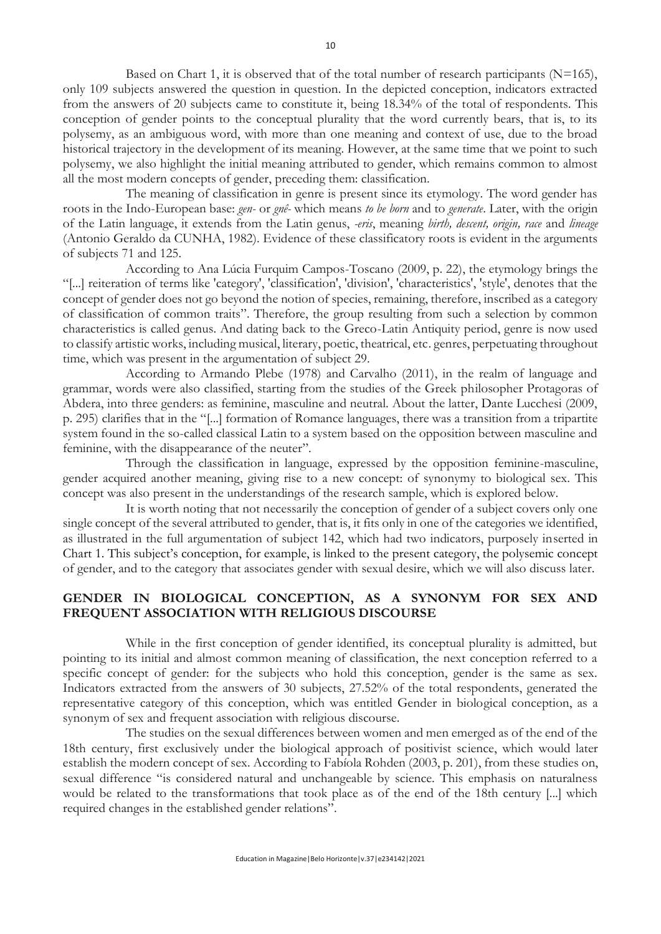Based on Chart 1, it is observed that of the total number of research participants  $(N=165)$ , only 109 subjects answered the question in question. In the depicted conception, indicators extracted from the answers of 20 subjects came to constitute it, being 18.34% of the total of respondents. This conception of gender points to the conceptual plurality that the word currently bears, that is, to its polysemy, as an ambiguous word, with more than one meaning and context of use, due to the broad historical trajectory in the development of its meaning. However, at the same time that we point to such polysemy, we also highlight the initial meaning attributed to gender, which remains common to almost all the most modern concepts of gender, preceding them: classification.

The meaning of classification in genre is present since its etymology. The word gender has roots in the Indo-European base: *gen-* or *gnê-* which means *to be born* and to *generate*. Later, with the origin of the Latin language, it extends from the Latin genus, *-eris*, meaning *birth, descent, origin, race* and *lineage* (Antonio Geraldo da CUNHA, 1982). Evidence of these classificatory roots is evident in the arguments of subjects 71 and 125.

According to Ana Lúcia Furquim Campos-Toscano (2009, p. 22), the etymology brings the "[...] reiteration of terms like 'category', 'classification', 'division', 'characteristics', 'style', denotes that the concept of gender does not go beyond the notion of species, remaining, therefore, inscribed as a category of classification of common traits". Therefore, the group resulting from such a selection by common characteristics is called genus. And dating back to the Greco-Latin Antiquity period, genre is now used to classify artistic works, including musical, literary, poetic, theatrical, etc. genres, perpetuating throughout time, which was present in the argumentation of subject 29.

According to Armando Plebe (1978) and Carvalho (2011), in the realm of language and grammar, words were also classified, starting from the studies of the Greek philosopher Protagoras of Abdera, into three genders: as feminine, masculine and neutral. About the latter, Dante Lucchesi (2009, p. 295) clarifies that in the "[...] formation of Romance languages, there was a transition from a tripartite system found in the so-called classical Latin to a system based on the opposition between masculine and feminine, with the disappearance of the neuter".

Through the classification in language, expressed by the opposition feminine-masculine, gender acquired another meaning, giving rise to a new concept: of synonymy to biological sex. This concept was also present in the understandings of the research sample, which is explored below.

It is worth noting that not necessarily the conception of gender of a subject covers only one single concept of the several attributed to gender, that is, it fits only in one of the categories we identified, as illustrated in the full argumentation of subject 142, which had two indicators, purposely inserted in Chart 1. This subject's conception, for example, is linked to the present category, the polysemic concept of gender, and to the category that associates gender with sexual desire, which we will also discuss later.

### **GENDER IN BIOLOGICAL CONCEPTION, AS A SYNONYM FOR SEX AND FREQUENT ASSOCIATION WITH RELIGIOUS DISCOURSE**

While in the first conception of gender identified, its conceptual plurality is admitted, but pointing to its initial and almost common meaning of classification, the next conception referred to a specific concept of gender: for the subjects who hold this conception, gender is the same as sex. Indicators extracted from the answers of 30 subjects, 27.52% of the total respondents, generated the representative category of this conception, which was entitled Gender in biological conception, as a synonym of sex and frequent association with religious discourse.

The studies on the sexual differences between women and men emerged as of the end of the 18th century, first exclusively under the biological approach of positivist science, which would later establish the modern concept of sex. According to Fabíola Rohden (2003, p. 201), from these studies on, sexual difference "is considered natural and unchangeable by science. This emphasis on naturalness would be related to the transformations that took place as of the end of the 18th century [...] which required changes in the established gender relations".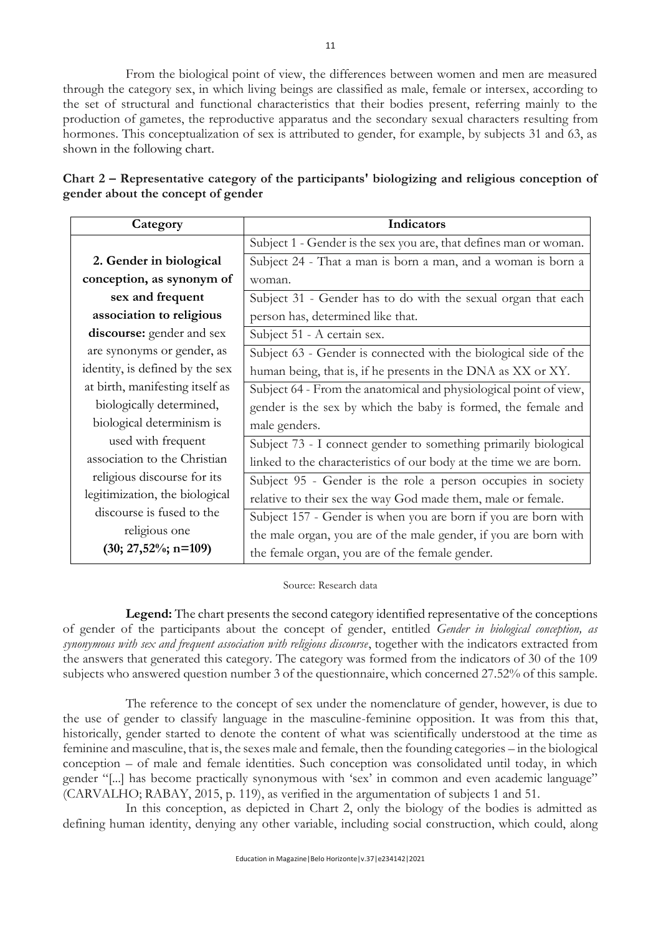From the biological point of view, the differences between women and men are measured through the category sex, in which living beings are classified as male, female or intersex, according to the set of structural and functional characteristics that their bodies present, referring mainly to the production of gametes, the reproductive apparatus and the secondary sexual characters resulting from hormones. This conceptualization of sex is attributed to gender, for example, by subjects 31 and 63, as shown in the following chart.

| Category                        | Indicators                                                         |
|---------------------------------|--------------------------------------------------------------------|
|                                 | Subject 1 - Gender is the sex you are, that defines man or woman.  |
| 2. Gender in biological         | Subject 24 - That a man is born a man, and a woman is born a       |
| conception, as synonym of       | woman.                                                             |
| sex and frequent                | Subject 31 - Gender has to do with the sexual organ that each      |
| association to religious        | person has, determined like that.                                  |
| discourse: gender and sex       | Subject 51 - A certain sex.                                        |
| are synonyms or gender, as      | Subject 63 - Gender is connected with the biological side of the   |
| identity, is defined by the sex | human being, that is, if he presents in the DNA as XX or XY.       |
| at birth, manifesting itself as | Subject 64 - From the anatomical and physiological point of view,  |
| biologically determined,        | gender is the sex by which the baby is formed, the female and      |
| biological determinism is       | male genders.                                                      |
| used with frequent              | Subject 73 - I connect gender to something primarily biological    |
| association to the Christian    | linked to the characteristics of our body at the time we are born. |
| religious discourse for its     | Subject 95 - Gender is the role a person occupies in society       |
| legitimization, the biological  | relative to their sex the way God made them, male or female.       |
| discourse is fused to the       | Subject 157 - Gender is when you are born if you are born with     |
| religious one                   | the male organ, you are of the male gender, if you are born with   |
| $(30; 27,52\%; n=109)$          | the female organ, you are of the female gender.                    |

| Chart 2 – Representative category of the participants' biologizing and religious conception of |  |  |
|------------------------------------------------------------------------------------------------|--|--|
| gender about the concept of gender                                                             |  |  |

#### Source: Research data

**Legend:** The chart presents the second category identified representative of the conceptions of gender of the participants about the concept of gender, entitled *Gender in biological conception, as synonymous with sex and frequent association with religious discourse*, together with the indicators extracted from the answers that generated this category. The category was formed from the indicators of 30 of the 109 subjects who answered question number 3 of the questionnaire, which concerned 27.52% of this sample.

The reference to the concept of sex under the nomenclature of gender, however, is due to the use of gender to classify language in the masculine-feminine opposition. It was from this that, historically, gender started to denote the content of what was scientifically understood at the time as feminine and masculine, that is, the sexes male and female, then the founding categories – in the biological conception – of male and female identities. Such conception was consolidated until today, in which gender "[...] has become practically synonymous with 'sex' in common and even academic language" (CARVALHO; RABAY, 2015, p. 119), as verified in the argumentation of subjects 1 and 51.

In this conception, as depicted in Chart 2, only the biology of the bodies is admitted as defining human identity, denying any other variable, including social construction, which could, along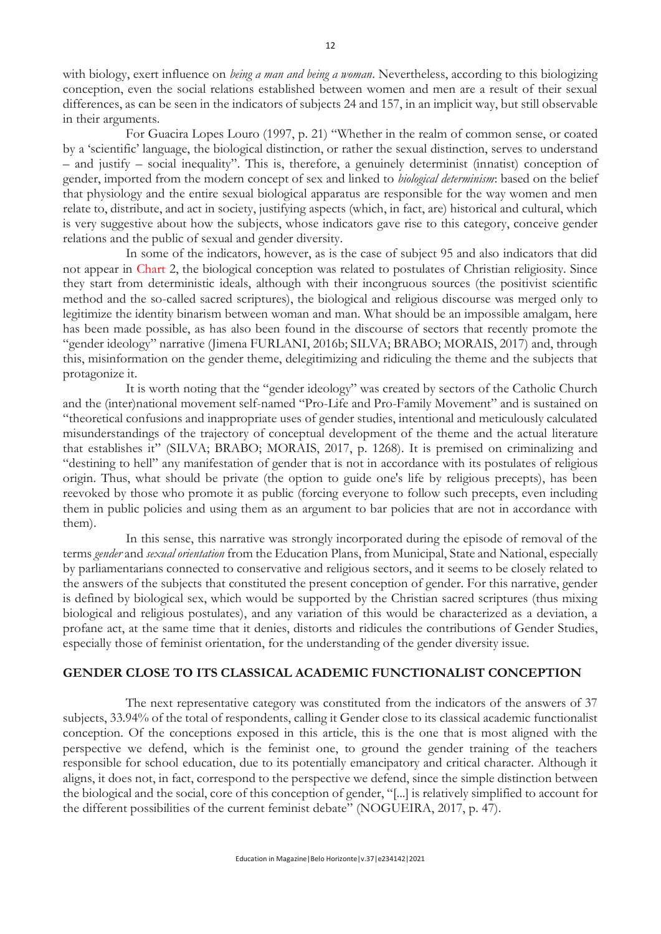with biology, exert influence on *being a man and being a woman*. Nevertheless, according to this biologizing conception, even the social relations established between women and men are a result of their sexual differences, as can be seen in the indicators of subjects 24 and 157, in an implicit way, but still observable in their arguments.

For Guacira Lopes Louro (1997, p. 21) "Whether in the realm of common sense, or coated by a 'scientific' language, the biological distinction, or rather the sexual distinction, serves to understand – and justify – social inequality". This is, therefore, a genuinely determinist (innatist) conception of gender, imported from the modern concept of sex and linked to *biological determinism*: based on the belief that physiology and the entire sexual biological apparatus are responsible for the way women and men relate to, distribute, and act in society, justifying aspects (which, in fact, are) historical and cultural, which is very suggestive about how the subjects, whose indicators gave rise to this category, conceive gender relations and the public of sexual and gender diversity.

In some of the indicators, however, as is the case of subject 95 and also indicators that did not appear in Chart 2, the biological conception was related to postulates of Christian religiosity. Since they start from deterministic ideals, although with their incongruous sources (the positivist scientific method and the so-called sacred scriptures), the biological and religious discourse was merged only to legitimize the identity binarism between woman and man. What should be an impossible amalgam, here has been made possible, as has also been found in the discourse of sectors that recently promote the "gender ideology" narrative (Jimena FURLANI, 2016b; SILVA; BRABO; MORAIS, 2017) and, through this, misinformation on the gender theme, delegitimizing and ridiculing the theme and the subjects that protagonize it.

It is worth noting that the "gender ideology" was created by sectors of the Catholic Church and the (inter)national movement self-named "Pro-Life and Pro-Family Movement" and is sustained on "theoretical confusions and inappropriate uses of gender studies, intentional and meticulously calculated misunderstandings of the trajectory of conceptual development of the theme and the actual literature that establishes it" (SILVA; BRABO; MORAIS, 2017, p. 1268). It is premised on criminalizing and "destining to hell" any manifestation of gender that is not in accordance with its postulates of religious origin. Thus, what should be private (the option to guide one's life by religious precepts), has been reevoked by those who promote it as public (forcing everyone to follow such precepts, even including them in public policies and using them as an argument to bar policies that are not in accordance with them).

In this sense, this narrative was strongly incorporated during the episode of removal of the terms *gender* and *sexual orientation* from the Education Plans, from Municipal, State and National, especially by parliamentarians connected to conservative and religious sectors, and it seems to be closely related to the answers of the subjects that constituted the present conception of gender. For this narrative, gender is defined by biological sex, which would be supported by the Christian sacred scriptures (thus mixing biological and religious postulates), and any variation of this would be characterized as a deviation, a profane act, at the same time that it denies, distorts and ridicules the contributions of Gender Studies, especially those of feminist orientation, for the understanding of the gender diversity issue.

### **GENDER CLOSE TO ITS CLASSICAL ACADEMIC FUNCTIONALIST CONCEPTION**

The next representative category was constituted from the indicators of the answers of 37 subjects, 33.94% of the total of respondents, calling it Gender close to its classical academic functionalist conception. Of the conceptions exposed in this article, this is the one that is most aligned with the perspective we defend, which is the feminist one, to ground the gender training of the teachers responsible for school education, due to its potentially emancipatory and critical character. Although it aligns, it does not, in fact, correspond to the perspective we defend, since the simple distinction between the biological and the social, core of this conception of gender, "[...] is relatively simplified to account for the different possibilities of the current feminist debate" (NOGUEIRA, 2017, p. 47).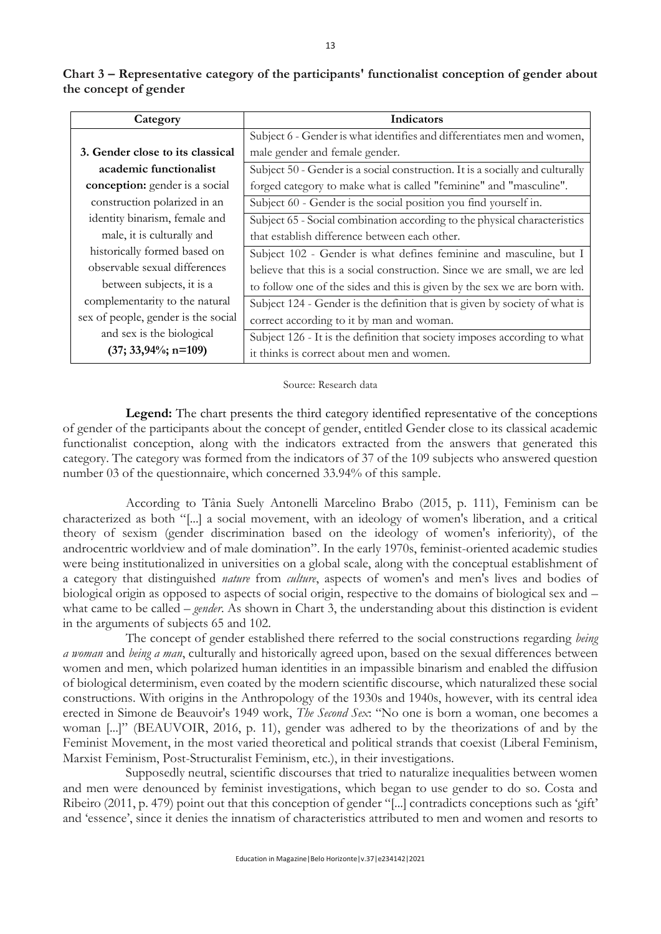| Category                            | Indicators                                                                    |
|-------------------------------------|-------------------------------------------------------------------------------|
|                                     | Subject 6 - Gender is what identifies and differentiates men and women,       |
| 3. Gender close to its classical    | male gender and female gender.                                                |
| academic functionalist              | Subject 50 - Gender is a social construction. It is a socially and culturally |
| conception: gender is a social      | forged category to make what is called "feminine" and "masculine".            |
| construction polarized in an        | Subject 60 - Gender is the social position you find yourself in.              |
| identity binarism, female and       | Subject 65 - Social combination according to the physical characteristics     |
| male, it is culturally and          | that establish difference between each other.                                 |
| historically formed based on        | Subject 102 - Gender is what defines feminine and masculine, but I            |
| observable sexual differences       | believe that this is a social construction. Since we are small, we are led    |
| between subjects, it is a           | to follow one of the sides and this is given by the sex we are born with.     |
| complementarity to the natural      | Subject 124 - Gender is the definition that is given by society of what is    |
| sex of people, gender is the social | correct according to it by man and woman.                                     |
| and sex is the biological           | Subject 126 - It is the definition that society imposes according to what     |
| $(37; 33,94\%; n=109)$              | it thinks is correct about men and women.                                     |

**Chart 3 – Representative category of the participants' functionalist conception of gender about the concept of gender**

Source: Research data

**Legend:** The chart presents the third category identified representative of the conceptions of gender of the participants about the concept of gender, entitled Gender close to its classical academic functionalist conception, along with the indicators extracted from the answers that generated this category. The category was formed from the indicators of 37 of the 109 subjects who answered question number 03 of the questionnaire, which concerned 33.94% of this sample.

According to Tânia Suely Antonelli Marcelino Brabo (2015, p. 111), Feminism can be characterized as both "[...] a social movement, with an ideology of women's liberation, and a critical theory of sexism (gender discrimination based on the ideology of women's inferiority), of the androcentric worldview and of male domination". In the early 1970s, feminist-oriented academic studies were being institutionalized in universities on a global scale, along with the conceptual establishment of a category that distinguished *nature* from *culture*, aspects of women's and men's lives and bodies of biological origin as opposed to aspects of social origin, respective to the domains of biological sex and – what came to be called – *gender*. As shown in Chart 3, the understanding about this distinction is evident in the arguments of subjects 65 and 102.

The concept of gender established there referred to the social constructions regarding *being a woman* and *being a man*, culturally and historically agreed upon, based on the sexual differences between women and men, which polarized human identities in an impassible binarism and enabled the diffusion of biological determinism, even coated by the modern scientific discourse, which naturalized these social constructions. With origins in the Anthropology of the 1930s and 1940s, however, with its central idea erected in Simone de Beauvoir's 1949 work, *The Second Sex*: "No one is born a woman, one becomes a woman [...]" (BEAUVOIR, 2016, p. 11), gender was adhered to by the theorizations of and by the Feminist Movement, in the most varied theoretical and political strands that coexist (Liberal Feminism, Marxist Feminism, Post-Structuralist Feminism, etc.), in their investigations.

Supposedly neutral, scientific discourses that tried to naturalize inequalities between women and men were denounced by feminist investigations, which began to use gender to do so. Costa and Ribeiro (2011, p. 479) point out that this conception of gender "[...] contradicts conceptions such as 'gift' and 'essence', since it denies the innatism of characteristics attributed to men and women and resorts to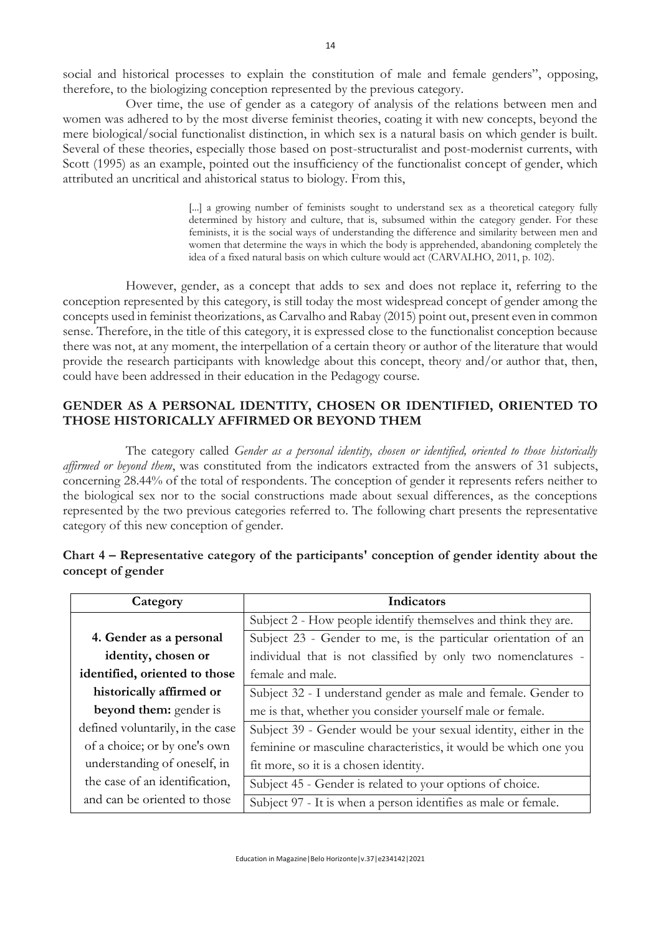social and historical processes to explain the constitution of male and female genders", opposing, therefore, to the biologizing conception represented by the previous category.

Over time, the use of gender as a category of analysis of the relations between men and women was adhered to by the most diverse feminist theories, coating it with new concepts, beyond the mere biological/social functionalist distinction, in which sex is a natural basis on which gender is built. Several of these theories, especially those based on post-structuralist and post-modernist currents, with Scott (1995) as an example, pointed out the insufficiency of the functionalist concept of gender, which attributed an uncritical and ahistorical status to biology. From this,

> [...] a growing number of feminists sought to understand sex as a theoretical category fully determined by history and culture, that is, subsumed within the category gender. For these feminists, it is the social ways of understanding the difference and similarity between men and women that determine the ways in which the body is apprehended, abandoning completely the idea of a fixed natural basis on which culture would act (CARVALHO, 2011, p. 102).

However, gender, as a concept that adds to sex and does not replace it, referring to the conception represented by this category, is still today the most widespread concept of gender among the concepts used in feminist theorizations, as Carvalho and Rabay (2015) point out, present even in common sense. Therefore, in the title of this category, it is expressed close to the functionalist conception because there was not, at any moment, the interpellation of a certain theory or author of the literature that would provide the research participants with knowledge about this concept, theory and/or author that, then, could have been addressed in their education in the Pedagogy course.

# **GENDER AS A PERSONAL IDENTITY, CHOSEN OR IDENTIFIED, ORIENTED TO THOSE HISTORICALLY AFFIRMED OR BEYOND THEM**

The category called *Gender as a personal identity, chosen or identified, oriented to those historically affirmed or beyond them*, was constituted from the indicators extracted from the answers of 31 subjects, concerning 28.44% of the total of respondents. The conception of gender it represents refers neither to the biological sex nor to the social constructions made about sexual differences, as the conceptions represented by the two previous categories referred to. The following chart presents the representative category of this new conception of gender.

| Category                         | Indicators                                                       |  |  |
|----------------------------------|------------------------------------------------------------------|--|--|
|                                  | Subject 2 - How people identify themselves and think they are.   |  |  |
| 4. Gender as a personal          | Subject 23 - Gender to me, is the particular orientation of an   |  |  |
| identity, chosen or              | individual that is not classified by only two nomenclatures -    |  |  |
| identified, oriented to those    | female and male.                                                 |  |  |
| historically affirmed or         | Subject 32 - I understand gender as male and female. Gender to   |  |  |
| beyond them: gender is           | me is that, whether you consider yourself male or female.        |  |  |
| defined voluntarily, in the case | Subject 39 - Gender would be your sexual identity, either in the |  |  |
| of a choice; or by one's own     | feminine or masculine characteristics, it would be which one you |  |  |
| understanding of oneself, in     | fit more, so it is a chosen identity.                            |  |  |
| the case of an identification,   | Subject 45 - Gender is related to your options of choice.        |  |  |
| and can be oriented to those     | Subject 97 - It is when a person identifies as male or female.   |  |  |

# **Chart 4 – Representative category of the participants' conception of gender identity about the concept of gender**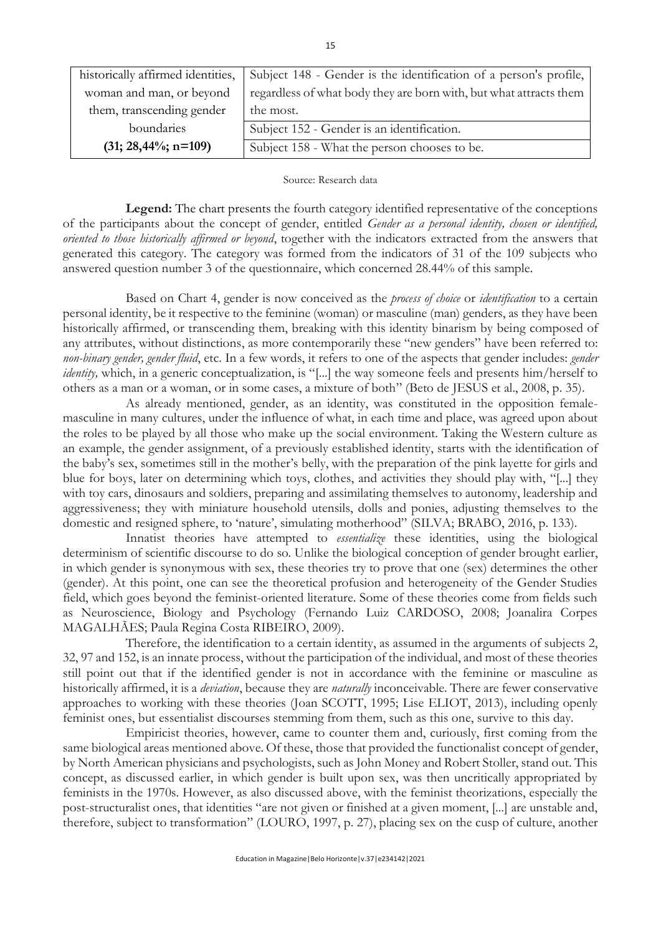| historically affirmed identities, | Subject 148 - Gender is the identification of a person's profile,  |
|-----------------------------------|--------------------------------------------------------------------|
| woman and man, or beyond          | regardless of what body they are born with, but what attracts them |
| them, transcending gender         | the most.                                                          |
| boundaries                        | Subject 152 - Gender is an identification.                         |
| $(31; 28,44\%; n=109)$            | Subject 158 - What the person chooses to be.                       |

#### Source: Research data

**Legend:** The chart presents the fourth category identified representative of the conceptions of the participants about the concept of gender, entitled *Gender as a personal identity, chosen or identified, oriented to those historically affirmed or beyond*, together with the indicators extracted from the answers that generated this category. The category was formed from the indicators of 31 of the 109 subjects who answered question number 3 of the questionnaire, which concerned 28.44% of this sample.

Based on Chart 4, gender is now conceived as the *process of choice* or *identification* to a certain personal identity, be it respective to the feminine (woman) or masculine (man) genders, as they have been historically affirmed, or transcending them, breaking with this identity binarism by being composed of any attributes, without distinctions, as more contemporarily these "new genders" have been referred to: *non-binary gender, gender fluid*, etc. In a few words, it refers to one of the aspects that gender includes: *gender identity*, which, in a generic conceptualization, is "[...] the way someone feels and presents him/herself to others as a man or a woman, or in some cases, a mixture of both" (Beto de JESUS et al., 2008, p. 35).

As already mentioned, gender, as an identity, was constituted in the opposition femalemasculine in many cultures, under the influence of what, in each time and place, was agreed upon about the roles to be played by all those who make up the social environment. Taking the Western culture as an example, the gender assignment, of a previously established identity, starts with the identification of the baby's sex, sometimes still in the mother's belly, with the preparation of the pink layette for girls and blue for boys, later on determining which toys, clothes, and activities they should play with, "[...] they with toy cars, dinosaurs and soldiers, preparing and assimilating themselves to autonomy, leadership and aggressiveness; they with miniature household utensils, dolls and ponies, adjusting themselves to the domestic and resigned sphere, to 'nature', simulating motherhood" (SILVA; BRABO, 2016, p. 133).

Innatist theories have attempted to *essentialize* these identities, using the biological determinism of scientific discourse to do so. Unlike the biological conception of gender brought earlier, in which gender is synonymous with sex, these theories try to prove that one (sex) determines the other (gender). At this point, one can see the theoretical profusion and heterogeneity of the Gender Studies field, which goes beyond the feminist-oriented literature. Some of these theories come from fields such as Neuroscience, Biology and Psychology (Fernando Luiz CARDOSO, 2008; Joanalira Corpes MAGALHÃES; Paula Regina Costa RIBEIRO, 2009).

Therefore, the identification to a certain identity, as assumed in the arguments of subjects 2, 32, 97 and 152, is an innate process, without the participation of the individual, and most of these theories still point out that if the identified gender is not in accordance with the feminine or masculine as historically affirmed, it is a *deviation*, because they are *naturally* inconceivable. There are fewer conservative approaches to working with these theories (Joan SCOTT, 1995; Lise ELIOT, 2013), including openly feminist ones, but essentialist discourses stemming from them, such as this one, survive to this day.

Empiricist theories, however, came to counter them and, curiously, first coming from the same biological areas mentioned above. Of these, those that provided the functionalist concept of gender, by North American physicians and psychologists, such as John Money and Robert Stoller, stand out. This concept, as discussed earlier, in which gender is built upon sex, was then uncritically appropriated by feminists in the 1970s. However, as also discussed above, with the feminist theorizations, especially the post-structuralist ones, that identities "are not given or finished at a given moment, [...] are unstable and, therefore, subject to transformation" (LOURO, 1997, p. 27), placing sex on the cusp of culture, another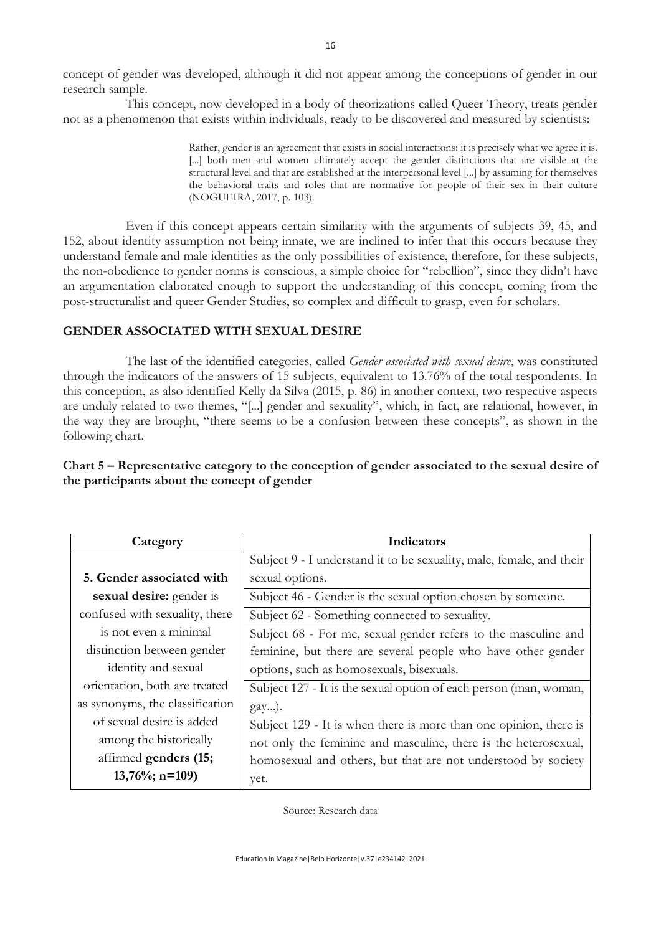concept of gender was developed, although it did not appear among the conceptions of gender in our research sample.

This concept, now developed in a body of theorizations called Queer Theory, treats gender not as a phenomenon that exists within individuals, ready to be discovered and measured by scientists:

> Rather, gender is an agreement that exists in social interactions: it is precisely what we agree it is. [...] both men and women ultimately accept the gender distinctions that are visible at the structural level and that are established at the interpersonal level [...] by assuming for themselves the behavioral traits and roles that are normative for people of their sex in their culture (NOGUEIRA, 2017, p. 103).

Even if this concept appears certain similarity with the arguments of subjects 39, 45, and 152, about identity assumption not being innate, we are inclined to infer that this occurs because they understand female and male identities as the only possibilities of existence, therefore, for these subjects, the non-obedience to gender norms is conscious, a simple choice for "rebellion", since they didn't have an argumentation elaborated enough to support the understanding of this concept, coming from the post-structuralist and queer Gender Studies, so complex and difficult to grasp, even for scholars.

### **GENDER ASSOCIATED WITH SEXUAL DESIRE**

The last of the identified categories, called *Gender associated with sexual desire*, was constituted through the indicators of the answers of 15 subjects, equivalent to 13.76% of the total respondents. In this conception, as also identified Kelly da Silva (2015, p. 86) in another context, two respective aspects are unduly related to two themes, "[...] gender and sexuality", which, in fact, are relational, however, in the way they are brought, "there seems to be a confusion between these concepts", as shown in the following chart.

## **Chart 5 – Representative category to the conception of gender associated to the sexual desire of the participants about the concept of gender**

| Category                        | Indicators                                                           |
|---------------------------------|----------------------------------------------------------------------|
|                                 | Subject 9 - I understand it to be sexuality, male, female, and their |
| 5. Gender associated with       | sexual options.                                                      |
| sexual desire: gender is        | Subject 46 - Gender is the sexual option chosen by someone.          |
| confused with sexuality, there  | Subject 62 - Something connected to sexuality.                       |
| is not even a minimal           | Subject 68 - For me, sexual gender refers to the masculine and       |
| distinction between gender      | feminine, but there are several people who have other gender         |
| identity and sexual             | options, such as homosexuals, bisexuals.                             |
| orientation, both are treated   | Subject 127 - It is the sexual option of each person (man, woman,    |
| as synonyms, the classification | $\{gay\}.$                                                           |
| of sexual desire is added       | Subject 129 - It is when there is more than one opinion, there is    |
| among the historically          | not only the feminine and masculine, there is the heterosexual,      |
| affirmed genders (15;           | homosexual and others, but that are not understood by society        |
| $13,76\%;$ n=109)               | yet.                                                                 |

Source: Research data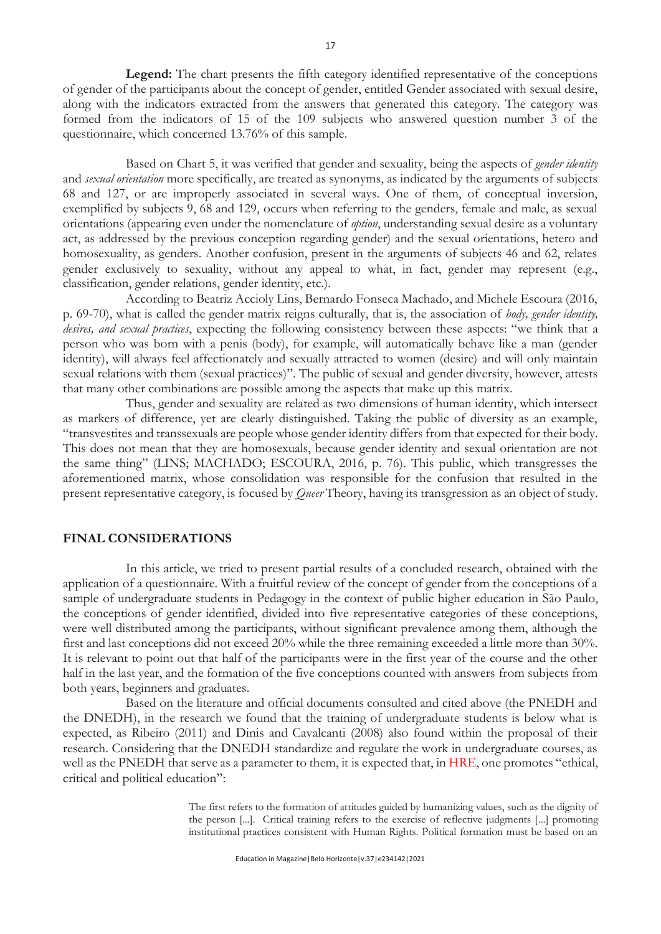**Legend:** The chart presents the fifth category identified representative of the conceptions of gender of the participants about the concept of gender, entitled Gender associated with sexual desire, along with the indicators extracted from the answers that generated this category. The category was formed from the indicators of 15 of the 109 subjects who answered question number 3 of the questionnaire, which concerned 13.76% of this sample.

Based on Chart 5, it was verified that gender and sexuality, being the aspects of *gender identity* and *sexual orientation* more specifically, are treated as synonyms, as indicated by the arguments of subjects 68 and 127, or are improperly associated in several ways. One of them, of conceptual inversion, exemplified by subjects 9, 68 and 129, occurs when referring to the genders, female and male, as sexual orientations (appearing even under the nomenclature of *option*, understanding sexual desire as a voluntary act, as addressed by the previous conception regarding gender) and the sexual orientations, hetero and homosexuality, as genders. Another confusion, present in the arguments of subjects 46 and 62, relates gender exclusively to sexuality, without any appeal to what, in fact, gender may represent (e.g., classification, gender relations, gender identity, etc.).

According to Beatriz Accioly Lins, Bernardo Fonseca Machado, and Michele Escoura (2016, p. 69-70), what is called the gender matrix reigns culturally, that is, the association of *body, gender identity, desires, and sexual practices*, expecting the following consistency between these aspects: "we think that a person who was born with a penis (body), for example, will automatically behave like a man (gender identity), will always feel affectionately and sexually attracted to women (desire) and will only maintain sexual relations with them (sexual practices)". The public of sexual and gender diversity, however, attests that many other combinations are possible among the aspects that make up this matrix.

Thus, gender and sexuality are related as two dimensions of human identity, which intersect as markers of difference, yet are clearly distinguished. Taking the public of diversity as an example, "transvestites and transsexuals are people whose gender identity differs from that expected for their body. This does not mean that they are homosexuals, because gender identity and sexual orientation are not the same thing" (LINS; MACHADO; ESCOURA, 2016, p. 76). This public, which transgresses the aforementioned matrix, whose consolidation was responsible for the confusion that resulted in the present representative category, is focused by *Queer* Theory, having its transgression as an object of study.

#### **FINAL CONSIDERATIONS**

In this article, we tried to present partial results of a concluded research, obtained with the application of a questionnaire. With a fruitful review of the concept of gender from the conceptions of a sample of undergraduate students in Pedagogy in the context of public higher education in São Paulo, the conceptions of gender identified, divided into five representative categories of these conceptions, were well distributed among the participants, without significant prevalence among them, although the first and last conceptions did not exceed 20% while the three remaining exceeded a little more than 30%. It is relevant to point out that half of the participants were in the first year of the course and the other half in the last year, and the formation of the five conceptions counted with answers from subjects from both years, beginners and graduates.

Based on the literature and official documents consulted and cited above (the PNEDH and the DNEDH), in the research we found that the training of undergraduate students is below what is expected, as Ribeiro (2011) and Dinis and Cavalcanti (2008) also found within the proposal of their research. Considering that the DNEDH standardize and regulate the work in undergraduate courses, as well as the PNEDH that serve as a parameter to them, it is expected that, in HRE, one promotes "ethical, critical and political education":

> The first refers to the formation of attitudes guided by humanizing values, such as the dignity of the person [...]. Critical training refers to the exercise of reflective judgments [...] promoting institutional practices consistent with Human Rights. Political formation must be based on an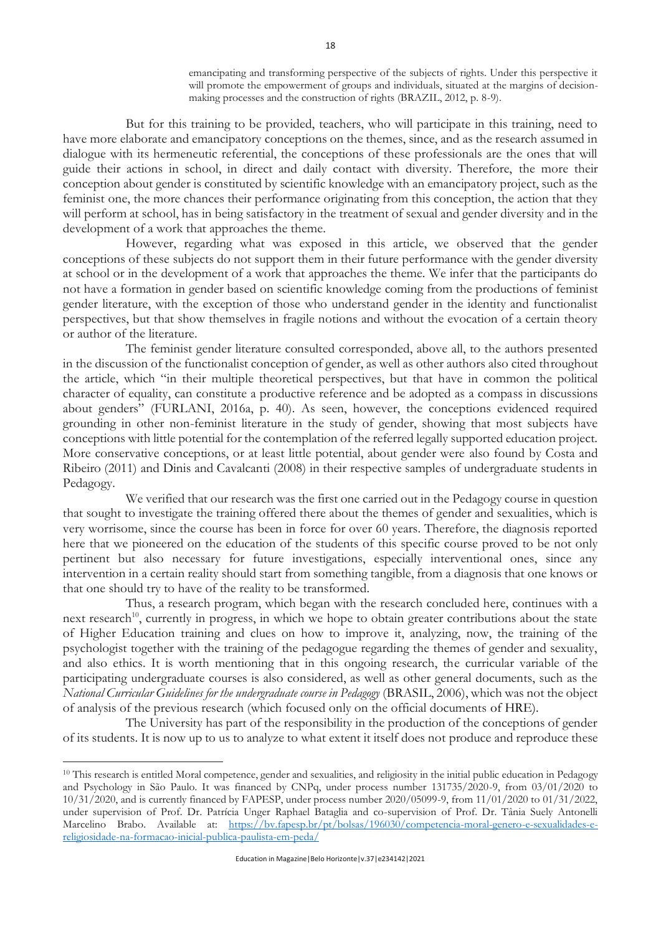emancipating and transforming perspective of the subjects of rights. Under this perspective it will promote the empowerment of groups and individuals, situated at the margins of decisionmaking processes and the construction of rights (BRAZIL, 2012, p. 8-9).

But for this training to be provided, teachers, who will participate in this training, need to have more elaborate and emancipatory conceptions on the themes, since, and as the research assumed in dialogue with its hermeneutic referential, the conceptions of these professionals are the ones that will guide their actions in school, in direct and daily contact with diversity. Therefore, the more their conception about gender is constituted by scientific knowledge with an emancipatory project, such as the feminist one, the more chances their performance originating from this conception, the action that they will perform at school, has in being satisfactory in the treatment of sexual and gender diversity and in the development of a work that approaches the theme.

However, regarding what was exposed in this article, we observed that the gender conceptions of these subjects do not support them in their future performance with the gender diversity at school or in the development of a work that approaches the theme. We infer that the participants do not have a formation in gender based on scientific knowledge coming from the productions of feminist gender literature, with the exception of those who understand gender in the identity and functionalist perspectives, but that show themselves in fragile notions and without the evocation of a certain theory or author of the literature.

The feminist gender literature consulted corresponded, above all, to the authors presented in the discussion of the functionalist conception of gender, as well as other authors also cited throughout the article, which "in their multiple theoretical perspectives, but that have in common the political character of equality, can constitute a productive reference and be adopted as a compass in discussions about genders" (FURLANI, 2016a, p. 40). As seen, however, the conceptions evidenced required grounding in other non-feminist literature in the study of gender, showing that most subjects have conceptions with little potential for the contemplation of the referred legally supported education project. More conservative conceptions, or at least little potential, about gender were also found by Costa and Ribeiro (2011) and Dinis and Cavalcanti (2008) in their respective samples of undergraduate students in Pedagogy.

We verified that our research was the first one carried out in the Pedagogy course in question that sought to investigate the training offered there about the themes of gender and sexualities, which is very worrisome, since the course has been in force for over 60 years. Therefore, the diagnosis reported here that we pioneered on the education of the students of this specific course proved to be not only pertinent but also necessary for future investigations, especially interventional ones, since any intervention in a certain reality should start from something tangible, from a diagnosis that one knows or that one should try to have of the reality to be transformed.

Thus, a research program, which began with the research concluded here, continues with a next research<sup>10</sup>, currently in progress, in which we hope to obtain greater contributions about the state of Higher Education training and clues on how to improve it, analyzing, now, the training of the psychologist together with the training of the pedagogue regarding the themes of gender and sexuality, and also ethics. It is worth mentioning that in this ongoing research, the curricular variable of the participating undergraduate courses is also considered, as well as other general documents, such as the *National Curricular Guidelines for the undergraduate course in Pedagogy* (BRASIL, 2006), which was not the object of analysis of the previous research (which focused only on the official documents of HRE).

The University has part of the responsibility in the production of the conceptions of gender of its students. It is now up to us to analyze to what extent it itself does not produce and reproduce these

<sup>&</sup>lt;sup>10</sup> This research is entitled Moral competence, gender and sexualities, and religiosity in the initial public education in Pedagogy and Psychology in São Paulo. It was financed by CNPq, under process number 131735/2020-9, from 03/01/2020 to 10/31/2020, and is currently financed by FAPESP, under process number 2020/05099-9, from 11/01/2020 to 01/31/2022, under supervision of Prof. Dr. Patrícia Unger Raphael Bataglia and co-supervision of Prof. Dr. Tânia Suely Antonelli Marcelino Brabo. Available at: [https://bv.fapesp.br/pt/bolsas/196030/competencia-moral-genero-e-sexualidades-e](https://bv.fapesp.br/pt/bolsas/196030/competencia-moral-genero-e-sexualidades-e-religiosidade-na-formacao-inicial-publica-paulista-em-peda/)[religiosidade-na-formacao-inicial-publica-paulista-em-peda/](https://bv.fapesp.br/pt/bolsas/196030/competencia-moral-genero-e-sexualidades-e-religiosidade-na-formacao-inicial-publica-paulista-em-peda/)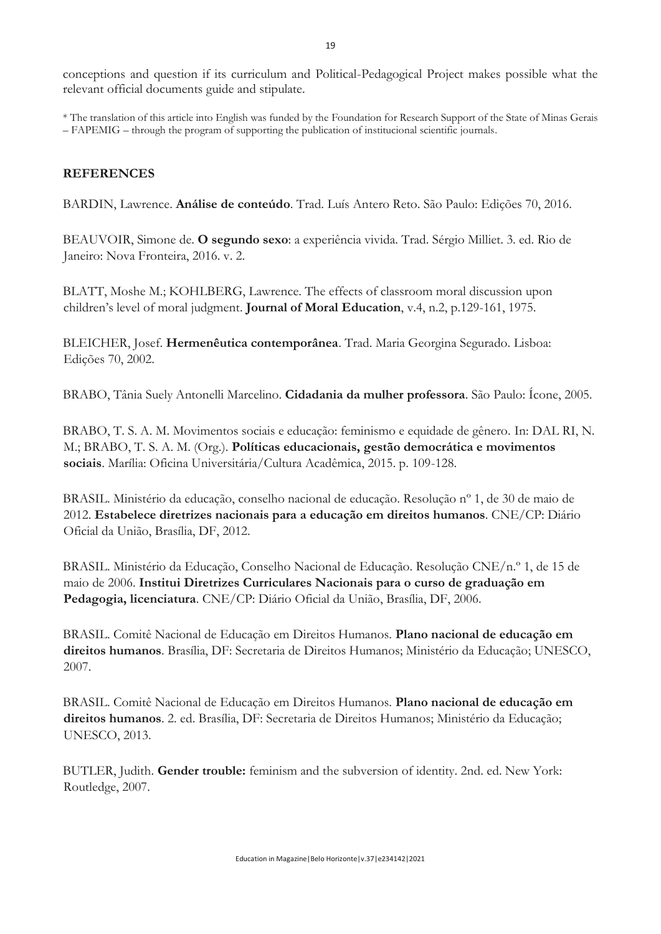conceptions and question if its curriculum and Political-Pedagogical Project makes possible what the relevant official documents guide and stipulate.

\* The translation of this article into English was funded by the Foundation for Research Support of the State of Minas Gerais – FAPEMIG – through the program of supporting the publication of institucional scientific journals.

## **REFERENCES**

BARDIN, Lawrence. **Análise de conteúdo**. Trad. Luís Antero Reto. São Paulo: Edições 70, 2016.

BEAUVOIR, Simone de. **O segundo sexo**: a experiência vivida. Trad. Sérgio Milliet. 3. ed. Rio de Janeiro: Nova Fronteira, 2016. v. 2.

BLATT, Moshe M.; KOHLBERG, Lawrence. The effects of classroom moral discussion upon children's level of moral judgment. **Journal of Moral Education**, v.4, n.2, p.129-161, 1975.

BLEICHER, Josef. **Hermenêutica contemporânea**. Trad. Maria Georgina Segurado. Lisboa: Edições 70, 2002.

BRABO, Tânia Suely Antonelli Marcelino. **Cidadania da mulher professora**. São Paulo: Ícone, 2005.

BRABO, T. S. A. M. Movimentos sociais e educação: feminismo e equidade de gênero. In: DAL RI, N. M.; BRABO, T. S. A. M. (Org.). **Políticas educacionais, gestão democrática e movimentos sociais**. Marília: Oficina Universitária/Cultura Acadêmica, 2015. p. 109-128.

BRASIL. Ministério da educação, conselho nacional de educação. Resolução nº 1, de 30 de maio de 2012. **Estabelece diretrizes nacionais para a educação em direitos humanos**. CNE/CP: Diário Oficial da União, Brasília, DF, 2012.

BRASIL. Ministério da Educação, Conselho Nacional de Educação. Resolução CNE/n.º 1, de 15 de maio de 2006. **Institui Diretrizes Curriculares Nacionais para o curso de graduação em Pedagogia, licenciatura**. CNE/CP: Diário Oficial da União, Brasília, DF, 2006.

BRASIL. Comitê Nacional de Educação em Direitos Humanos. **Plano nacional de educação em direitos humanos**. Brasília, DF: Secretaria de Direitos Humanos; Ministério da Educação; UNESCO, 2007.

BRASIL. Comitê Nacional de Educação em Direitos Humanos. **Plano nacional de educação em direitos humanos**. 2. ed. Brasília, DF: Secretaria de Direitos Humanos; Ministério da Educação; UNESCO, 2013.

BUTLER, Judith. **Gender trouble:** feminism and the subversion of identity. 2nd. ed. New York: Routledge, 2007.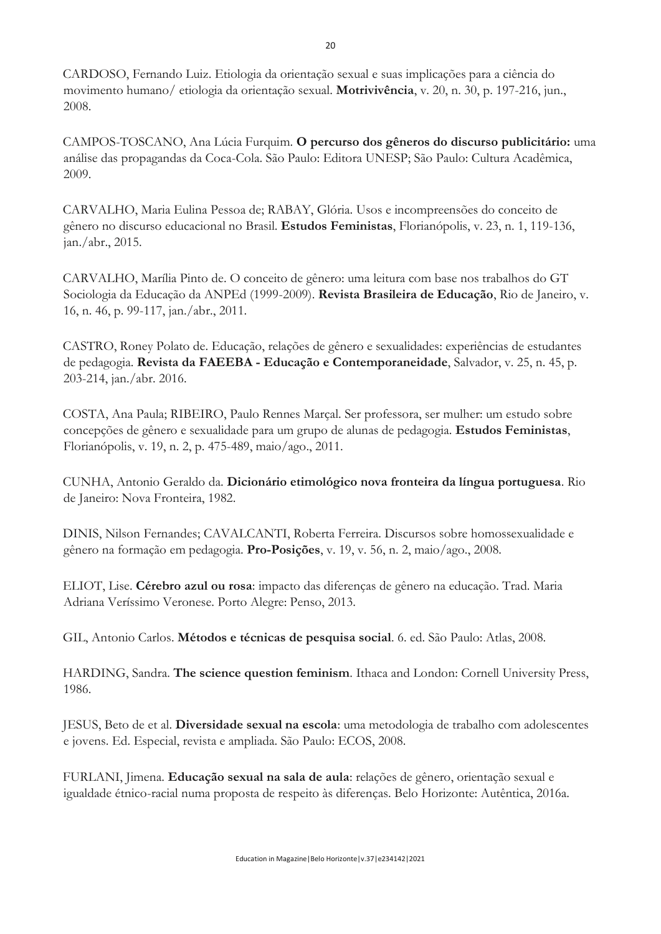CARDOSO, Fernando Luiz. Etiologia da orientação sexual e suas implicações para a ciência do movimento humano/ etiologia da orientação sexual. **Motrivivência**, v. 20, n. 30, p. 197-216, jun., 2008.

CAMPOS-TOSCANO, Ana Lúcia Furquim. **O percurso dos gêneros do discurso publicitário:** uma análise das propagandas da Coca-Cola. São Paulo: Editora UNESP; São Paulo: Cultura Acadêmica, 2009.

CARVALHO, Maria Eulina Pessoa de; RABAY, Glória. Usos e incompreensões do conceito de gênero no discurso educacional no Brasil. **Estudos Feministas**, Florianópolis, v. 23, n. 1, 119-136, jan./abr., 2015.

CARVALHO, Marília Pinto de. O conceito de gênero: uma leitura com base nos trabalhos do GT Sociologia da Educação da ANPEd (1999-2009). **Revista Brasileira de Educação**, Rio de Janeiro, v. 16, n. 46, p. 99-117, jan./abr., 2011.

CASTRO, Roney Polato de. Educação, relações de gênero e sexualidades: experiências de estudantes de pedagogia. **Revista da FAEEBA - Educação e Contemporaneidade**, Salvador, v. 25, n. 45, p. 203-214, jan./abr. 2016.

COSTA, Ana Paula; RIBEIRO, Paulo Rennes Marçal. Ser professora, ser mulher: um estudo sobre concepções de gênero e sexualidade para um grupo de alunas de pedagogia. **Estudos Feministas**, Florianópolis, v. 19, n. 2, p. 475-489, maio/ago., 2011.

CUNHA, Antonio Geraldo da. **Dicionário etimológico nova fronteira da língua portuguesa**. Rio de Janeiro: Nova Fronteira, 1982.

DINIS, Nilson Fernandes; CAVALCANTI, Roberta Ferreira. Discursos sobre homossexualidade e gênero na formação em pedagogia. **Pro-Posições**, v. 19, v. 56, n. 2, maio/ago., 2008.

ELIOT, Lise. **Cérebro azul ou rosa**: impacto das diferenças de gênero na educação. Trad. Maria Adriana Veríssimo Veronese. Porto Alegre: Penso, 2013.

GIL, Antonio Carlos. **Métodos e técnicas de pesquisa social**. 6. ed. São Paulo: Atlas, 2008.

HARDING, Sandra. **The science question feminism**. Ithaca and London: Cornell University Press, 1986.

JESUS, Beto de et al. **Diversidade sexual na escola**: uma metodologia de trabalho com adolescentes e jovens. Ed. Especial, revista e ampliada. São Paulo: ECOS, 2008.

FURLANI, Jimena. **Educação sexual na sala de aula**: relações de gênero, orientação sexual e igualdade étnico-racial numa proposta de respeito às diferenças. Belo Horizonte: Autêntica, 2016a.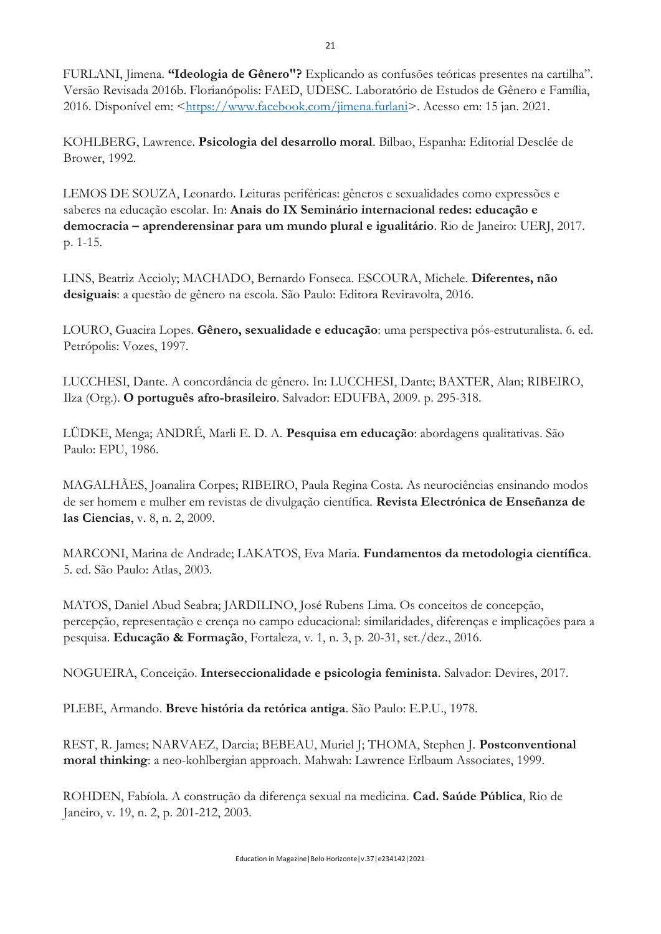FURLANI, Jimena. **"Ideologia de Gênero"?** Explicando as confusões teóricas presentes na cartilha". Versão Revisada 2016b. Florianópolis: FAED, UDESC. Laboratório de Estudos de Gênero e Família, 2016. Disponível em: [<https://www.facebook.com/jimena.furlani>](https://www.facebook.com/jimena.furlani). Acesso em: 15 jan. 2021.

KOHLBERG, Lawrence. **Psicologia del desarrollo moral**. Bilbao, Espanha: Editorial Desclée de Brower, 1992.

LEMOS DE SOUZA, Leonardo. Leituras periféricas: gêneros e sexualidades como expressões e saberes na educação escolar. In: **Anais do IX Seminário internacional redes: educação e democracia – aprenderensinar para um mundo plural e igualitário**. Rio de Janeiro: UERJ, 2017. p. 1-15.

LINS, Beatriz Accioly; MACHADO, Bernardo Fonseca. ESCOURA, Michele. **Diferentes, não desiguais**: a questão de gênero na escola. São Paulo: Editora Reviravolta, 2016.

LOURO, Guacira Lopes. **Gênero, sexualidade e educação**: uma perspectiva pós-estruturalista. 6. ed. Petrópolis: Vozes, 1997.

LUCCHESI, Dante. A concordância de gênero. In: LUCCHESI, Dante; BAXTER, Alan; RIBEIRO, Ilza (Org.). **O português afro-brasileiro**. Salvador: EDUFBA, 2009. p. 295-318.

LÜDKE, Menga; ANDRÉ, Marli E. D. A. **Pesquisa em educação**: abordagens qualitativas. São Paulo: EPU, 1986.

MAGALHÃES, Joanalira Corpes; RIBEIRO, Paula Regina Costa. As neurociências ensinando modos de ser homem e mulher em revistas de divulgação científica. **Revista Electrónica de Enseñanza de las Ciencias**, v. 8, n. 2, 2009.

MARCONI, Marina de Andrade; LAKATOS, Eva Maria. **Fundamentos da metodologia científica**. 5. ed. São Paulo: Atlas, 2003.

MATOS, Daniel Abud Seabra; JARDILINO, José Rubens Lima. Os conceitos de concepção, percepção, representação e crença no campo educacional: similaridades, diferenças e implicações para a pesquisa. **Educação & Formação**, Fortaleza, v. 1, n. 3, p. 20-31, set./dez., 2016.

NOGUEIRA, Conceição. **Interseccionalidade e psicologia feminista**. Salvador: Devires, 2017.

PLEBE, Armando. **Breve história da retórica antiga**. São Paulo: E.P.U., 1978.

REST, R. James; NARVAEZ, Darcia; BEBEAU, Muriel J; THOMA, Stephen J. **Postconventional moral thinking**: a neo-kohlbergian approach. Mahwah: Lawrence Erlbaum Associates, 1999.

ROHDEN, Fabíola. A construção da diferença sexual na medicina. **Cad. Saúde Pública**, Rio de Janeiro, v. 19, n. 2, p. 201-212, 2003.